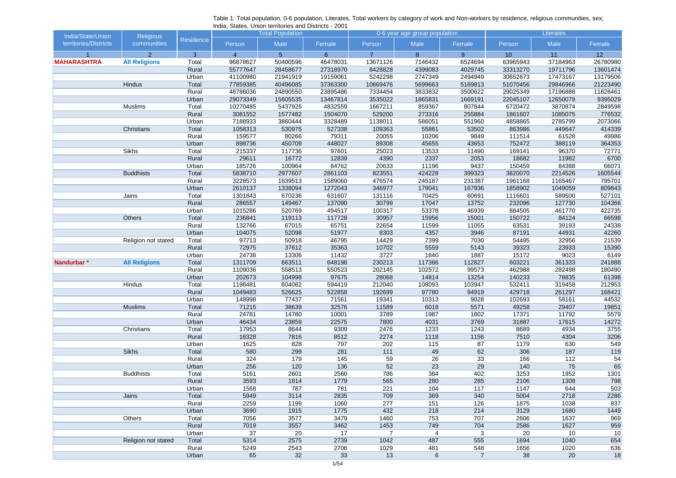| India/State/Union     | <b>Religious</b>     |                  |                | <b>Total Population</b> |          | 0-6 year age group population |                |                | <b>Literates</b> |          |                 |  |
|-----------------------|----------------------|------------------|----------------|-------------------------|----------|-------------------------------|----------------|----------------|------------------|----------|-----------------|--|
| territories/Districts | communities          | <b>Residence</b> | Person         | Male                    | Female   | Person                        | Male           | Female         | Person           | Male     | Female          |  |
|                       | $\overline{2}$       | $\overline{3}$   | $\overline{4}$ | 5 <sup>5</sup>          | 6        | $\overline{7}$                | 8              | 9 <sup>°</sup> | 10               | 11       | 12 <sup>°</sup> |  |
| <b>MAHARASHTRA</b>    | <b>All Religions</b> | Total            | 96878627       | 50400596                | 46478031 | 13671126                      | 7146432        | 6524694        | 63965943         | 37184963 | 26780980        |  |
|                       |                      | Rural            | 55777647       | 28458677                | 27318970 | 8428828                       | 4399083        | 4029745        | 33313270         | 19711796 | 13601474        |  |
|                       |                      | Urban            | 41100980       | 21941919                | 19159061 | 5242298                       | 2747349        | 2494949        | 30652673         | 17473167 | 13179506        |  |
|                       | <b>Hindus</b>        | Total            | 77859385       | 40496085                | 37363300 | 10869476                      | 5699663        | 5169813        | 51070456         | 29846966 | 21223490        |  |
|                       |                      | Rural            | 48786036       | 24890550                | 23895486 | 7334454                       | 3833832        | 3500622        | 29025349         | 17196888 | 11828461        |  |
|                       |                      | Urban            | 29073349       | 15605535                | 13467814 | 3535022                       | 1865831        | 1669191        | 22045107         | 12650078 | 9395029         |  |
|                       | <b>Muslims</b>       | Total            | 10270485       | 5437926                 | 4832559  | 1667211                       | 859367         | 807844         | 6720472          | 3870874  | 2849598         |  |
|                       |                      | Rural            | 3081552        | 1577482                 | 1504070  | 529200                        | 273316         | 255884         | 1861607          | 1085075  | 776532          |  |
|                       |                      | Urban            | 7188933        | 3860444                 | 3328489  | 1138011                       | 586051         | 551960         | 4858865          | 2785799  | 2073066         |  |
|                       | Christians           | Total            | 1058313        | 530975                  | 527338   | 109363                        | 55861          | 53502          | 863986           | 449647   | 414339          |  |
|                       |                      | Rural            | 159577         | 80266                   | 79311    | 20055                         | 10206          | 9849           | 111514           | 61528    | 49986           |  |
|                       |                      | Urban            | 898736         | 450709                  | 448027   | 89308                         | 45655          | 43653          | 752472           | 388119   | 364353          |  |
|                       | <b>Sikhs</b>         | Total            | 215337         | 117736                  | 97601    | 25023                         | 13533          | 11490          | 169141           | 96370    | 72771           |  |
|                       |                      | Rural            | 29611          | 16772                   | 12839    | 4390                          | 2337           | 2053           | 18682            | 11982    | 6700            |  |
|                       |                      | Urban            | 185726         | 100964                  | 84762    | 20633                         | 11196          | 9437           | 150459           | 84388    | 66071           |  |
|                       | <b>Buddhists</b>     | Total            | 5838710        | 2977607                 | 2861103  | 823551                        | 424228         | 399323         | 3820070          | 2214526  | 1605544         |  |
|                       |                      | Rural            | 3228573        | 1639513                 | 1589060  | 476574                        | 245187         | 231387         | 1961168          | 1165467  | 795701          |  |
|                       |                      | Urban            | 2610137        | 1338094                 | 1272043  | 346977                        | 179041         | 167936         | 1858902          | 1049059  | 809843          |  |
|                       | Jains                | Total            | 1301843        | 670236                  | 631607   | 131116                        | 70425          | 60691          | 1116601          | 589500   | 527101          |  |
|                       |                      | Rural            | 286557         | 149467                  | 137090   | 30799                         | 17047          | 13752          | 232096           | 127730   | 104366          |  |
|                       |                      | Urban            | 1015286        | 520769                  | 494517   | 100317                        | 53378          | 46939          | 884505           | 461770   | 422735          |  |
|                       | Others               | Total            | 236841         | 119113                  | 117728   | 30957                         | 15956          | 15001          | 150722           | 84124    | 66598           |  |
|                       |                      | Rural            | 132766         | 67015                   | 65751    | 22654                         | 11599          | 11055          | 63531            | 39193    | 24338           |  |
|                       |                      | Urban            | 104075         | 52098                   | 51977    | 8303                          | 4357           | 3946           | 87191            | 44931    | 42260           |  |
|                       | Religion not stated  | Total            | 97713          | 50918                   | 46795    | 14429                         | 7399           | 7030           | 54495            | 32956    | 21539           |  |
|                       |                      | Rural            | 72975          | 37612                   | 35363    | 10702                         | 5559           | 5143           | 39323            | 23933    | 15390           |  |
|                       |                      | Urban            | 24738          | 13306                   | 11432    | 3727                          | 1840           | 1887           | 15172            | 9023     | 6149            |  |
| Nandurbar*            | <b>All Religions</b> | Total            | 1311709        | 663511                  | 648198   | 230213                        | 117386         | 112827         | 603221           | 361333   | 241888          |  |
|                       |                      | Rural            | 1109036        | 558513                  | 550523   | 202145                        | 102572         | 99573          | 462988           | 282498   | 180490          |  |
|                       |                      | Urban            | 202673         | 104998                  | 97675    | 28068                         | 14814          | 13254          | 140233           | 78835    | 61398           |  |
|                       | Hindus               | Total            | 1198481        | 604062                  | 594419   | 212040                        | 108093         | 103947         | 532411           | 319458   | 212953          |  |
|                       |                      | Rural            | 1049483        | 526625                  | 522858   | 192699                        | 97780          | 94919          | 429718           | 261297   | 168421          |  |
|                       |                      | Urban            | 148998         | 77437                   | 71561    | 19341                         | 10313          | 9028           | 102693           | 58161    | 44532           |  |
|                       | <b>Muslims</b>       | Total            | 71215          | 38639                   | 32576    | 11589                         | 6018           | 5571           | 49258            | 29407    | 19851           |  |
|                       |                      | Rural            | 24781          | 14780                   | 10001    | 3789                          | 1987           | 1802           | 17371            | 11792    | 5579            |  |
|                       |                      | Urban            | 46434          | 23859                   | 22575    | 7800                          | 4031           | 3769           | 31887            | 17615    | 14272           |  |
|                       | Christians           | Total            | 17953          | 8644                    | 9309     | 2476                          | 1233           | 1243           | 8689             | 4934     | 3755            |  |
|                       |                      | Rural            | 16328          | 7816                    | 8512     | 2274                          | 1118           | 1156           | 7510             | 4304     | 3206            |  |
|                       |                      | Urban            | 1625           | 828                     | 797      | 202                           | 115            | 87             | 1179             | 630      | 549             |  |
|                       | Sikhs                | Total            | 580            | 299                     | 281      | 111                           | 49             | 62             | 306              | 187      | 119             |  |
|                       |                      | Rural            | 324            | 179                     | 145      | 59                            | 26             | 33             | 166              | 112      | 54              |  |
|                       |                      | Urban            | 256            | 120                     | 136      | 52                            | 23             | 29             | 140              | 75       | 65              |  |
|                       | <b>Buddhists</b>     | Total            | 5161           | 2601                    | 2560     | 786                           | 384            | 402            | 3253             | 1952     | 1301            |  |
|                       |                      | Rural            | 3593           | 1814                    | 1779     | 565                           | 280            | 285            | 2106             | 1308     | 798             |  |
|                       |                      | Urban            | 1568           | 787                     | 781      | 221                           | 104            | 117            | 1147             | 644      | 503             |  |
|                       | Jains                | Total            | 5949           | 3114                    | 2835     | 709                           | 369            | 340            | 5004             | 2718     | 2286            |  |
|                       |                      | Rural            | 2259           | 1199                    | 1060     | 277                           | 151            | 126            | 1875             | 1038     | 837             |  |
|                       |                      | Urban            | 3690           | 1915                    | 1775     | 432                           | 218            | 214            | 3129             | 1680     | 1449            |  |
|                       | Others               | Total            | 7056           | 3577                    | 3479     | 1460                          | 753            | 707            | 2606             | 1637     | 969             |  |
|                       |                      | Rural            | 7019           | 3557                    | 3462     | 1453                          | 749            | 704            | 2586             | 1627     | 959             |  |
|                       |                      | Urban            | 37             | 20                      | 17       | $\overline{7}$                | $\overline{4}$ | 3              | 20               | 10       | 10              |  |
|                       | Religion not stated  | Total            | 5314           | 2575                    | 2739     | 1042                          | 487            | 555            | 1694             | 1040     | 654             |  |
|                       |                      | Rural            | 5249           | 2543                    | 2706     | 1029                          | 481            | 548            | 1656             | 1020     | 636             |  |
|                       |                      | Urban            | 65             | 32                      | 33       | 13                            | $\,6\,$        | $\overline{7}$ | 38               | 20       | 18              |  |

|  |                                                       | Table 1: Total population, 0-6 population, Literates, Total workers by category of work and Non-workers by residence, religious communities, sex; |  |  |  |  |
|--|-------------------------------------------------------|---------------------------------------------------------------------------------------------------------------------------------------------------|--|--|--|--|
|  | India, States, Union territories and Districts - 2001 |                                                                                                                                                   |  |  |  |  |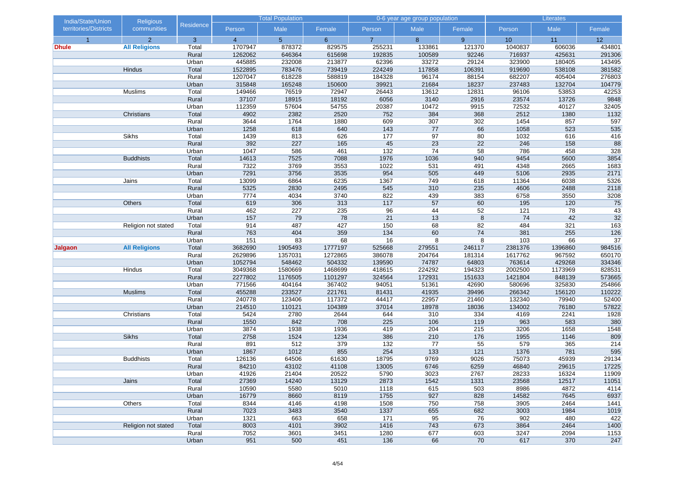| India/State/Union     | Religious            |                  |                | <b>Total Population</b> |              |                | 0-6 year age group population |                 |               | Literates    |                  |
|-----------------------|----------------------|------------------|----------------|-------------------------|--------------|----------------|-------------------------------|-----------------|---------------|--------------|------------------|
| territories/Districts | communities          | <b>Residence</b> | Person         | Male                    | Female       | Person         | Male                          | Female          | Person        | Male         | Female           |
| $\overline{1}$        | $\overline{2}$       | $\overline{3}$   | $\overline{4}$ | 5 <sup>5</sup>          | $6^{\circ}$  | $\overline{7}$ | 8                             | $9^{\circ}$     | 10            | 11           | 12               |
| Dhule                 | <b>All Religions</b> | Total            | 1707947        | 878372                  | 829575       | 255231         | 133861                        | 121370          | 1040837       | 606036       | 434801           |
|                       |                      | Rural            | 1262062        | 646364                  | 615698       | 192835         | 100589                        | 92246           | 716937        | 425631       | 291306           |
|                       |                      | Urban            | 445885         | 232008                  | 213877       | 62396          | 33272                         | 29124           | 323900        | 180405       | 143495           |
|                       | Hindus               | Total            | 1522895        | 783476                  | 739419       | 224249         | 117858                        | 106391          | 919690        | 538108       | 381582           |
|                       |                      | Rural            | 1207047        | 618228                  | 588819       | 184328         | 96174                         | 88154           | 682207        | 405404       | 276803           |
|                       |                      | Urban            | 315848         | 165248                  | 150600       | 39921          | 21684                         | 18237           | 237483        | 132704       | 104779           |
|                       | Muslims              | Total            | 149466         | 76519                   | 72947        | 26443          | 13612                         | 12831           | 96106         | 53853        | 42253            |
|                       |                      | Rural            | 37107          | 18915                   | 18192        | 6056           | 3140                          | 2916            | 23574         | 13726        | 9848             |
|                       |                      | Urban            | 112359         | 57604                   | 54755        | 20387          | 10472                         | 9915            | 72532         | 40127        | 32405            |
|                       | Christians           | Total            | 4902           | 2382                    | 2520         | 752            | 384                           | 368             | 2512          | 1380         | 1132             |
|                       |                      | Rural            | 3644           | 1764<br>618             | 1880         | 609<br>143     | 307<br>77                     | 302             | 1454          | 857<br>523   | 597              |
|                       | <b>Sikhs</b>         | Urban<br>Total   | 1258<br>1439   | 813                     | 640<br>626   | 177            | 97                            | 66<br>80        | 1058<br>1032  | 616          | 535<br>416       |
|                       |                      | Rural            | 392            | 227                     | 165          | 45             | $\overline{23}$               | $\overline{22}$ | 246           | 158          | 88               |
|                       |                      | Urban            | 1047           | 586                     | 461          | $132$          | 74                            | 58              | 786           | 458          | 328              |
|                       | <b>Buddhists</b>     | Total            | 14613          | 7525                    | 7088         | 1976           | 1036                          | 940             | 9454          | 5600         | 3854             |
|                       |                      | Rural            | 7322           | 3769                    | 3553         | 1022           | 531                           | 491             | 4348          | 2665         | 1683             |
|                       |                      | Urban            | 7291           | 3756                    | 3535         | 954            | 505                           | 449             | 5106          | 2935         | 2171             |
|                       | Jains                | Total            | 13099          | 6864                    | 6235         | 1367           | 749                           | 618             | 11364         | 6038         | 5326             |
|                       |                      | Rural            | 5325           | 2830                    | 2495         | 545            | 310                           | 235             | 4606          | 2488         | 2118             |
|                       |                      | Urban            | 7774           | 4034                    | 3740         | 822            | 439                           | 383             | 6758          | 3550         | 3208             |
|                       | Others               | Total            | 619            | 306                     | 313          | 117            | 57                            | 60              | 195           | 120          | 75               |
|                       |                      | Rural            | 462            | 227                     | 235          | 96             | 44                            | 52              | 121           | 78           | 43               |
|                       |                      | Urban            | 157            | 79                      | 78           | 21             | 13                            | 8               | 74            | 42           | 32               |
|                       | Religion not stated  | Total            | 914            | 487                     | 427          | 150            | 68                            | 82              | 484           | 321          | $\overline{163}$ |
|                       |                      | Rural            | 763            | 404                     | 359          | 134            | 60                            | 74              | 381           | 255          | 126              |
|                       |                      | Urban            | 151            | 83                      | 68           | 16             | 8                             | 8               | 103           | 66           | 37               |
| Jalgaon               | <b>All Religions</b> | Total            | 3682690        | 1905493                 | 1777197      | 525668         | 279551                        | 246117          | 2381376       | 1396860      | 984516           |
|                       |                      | Rural            | 2629896        | 1357031                 | 1272865      | 386078         | 204764                        | 181314          | 1617762       | 967592       | 650170           |
|                       |                      | Urban            | 1052794        | 548462                  | 504332       | 139590         | 74787                         | 64803           | 763614        | 429268       | 334346           |
|                       | Hindus               | Total            | 3049368        | 1580669                 | 1468699      | 418615         | 224292                        | 194323          | 2002500       | 1173969      | 828531           |
|                       |                      | Rural            | 2277802        | 1176505                 | 1101297      | 324564         | 172931                        | 151633          | 1421804       | 848139       | 573665           |
|                       |                      | Urban            | 771566         | 404164                  | 367402       | 94051          | 51361                         | 42690           | 580696        | 325830       | 254866           |
|                       | <b>Muslims</b>       | Total            | 455288         | 233527                  | 221761       | 81431          | 41935                         | 39496           | 266342        | 156120       | 110222           |
|                       |                      | Rural            | 240778         | 123406                  | 117372       | 44417          | 22957                         | 21460           | 132340        | 79940        | 52400            |
|                       |                      | Urban            | 214510         | 110121                  | 104389       | 37014          | 18978                         | 18036           | 134002        | 76180        | 57822            |
|                       | Christians           | Total            | 5424           | 2780                    | 2644         | 644            | 310                           | 334             | 4169          | 2241         | 1928             |
|                       |                      | Rural            | 1550           | 842                     | 708          | 225            | 106                           | 119             | 963           | 583          | 380              |
|                       |                      | Urban            | 3874           | 1938                    | 1936         | 419            | 204                           | 215             | 3206          | 1658         | 1548             |
|                       | <b>Sikhs</b>         | Total            | 2758           | 1524                    | 1234         | 386            | 210                           | 176             | 1955          | 1146         | 809              |
|                       |                      | Rural            | 891            | 512                     | 379          | $132$          | 77                            | 55              | 579           | 365          | 214              |
|                       |                      | Urban            | 1867           | 1012                    | 855          | 254            | 133                           | 121             | 1376          | 781          | 595              |
|                       | <b>Buddhists</b>     | Total            | 126136         | 64506                   | 61630        | 18795          | 9769                          | 9026            | 75073         | 45939        | 29134            |
|                       |                      | Rural            | 84210          | 43102                   | 41108        | 13005          | 6746                          | 6259            | 46840         | 29615        | 17225            |
|                       |                      | Urban            | 41926          | 21404                   | 20522        | 5790           | 3023                          | 2767            | 28233         | 16324        | 11909            |
|                       | Jains                | Total            | 27369          | 14240                   | 13129        | 2873           | 1542                          | 1331            | 23568         | 12517        | 11051            |
|                       |                      | Rural            | 10590<br>16779 | 5580                    | 5010         | 1118           | 615<br>927                    | 503<br>828      | 8986          | 4872         | 4114<br>6937     |
|                       |                      | Urban            | 8344           | 8660<br>4146            | 8119<br>4198 | 1755<br>1508   | 750                           | 758             | 14582<br>3905 | 7645<br>2464 |                  |
|                       | Others               | Total            | 7023           | 3483                    | 3540         | 1337           |                               | 682             | 3003          | 1984         | 1441             |
|                       |                      | Rural<br>Urban   | 1321           | 663                     | 658          | 171            | 655<br>95                     | 76              | 902           | 480          | 1019<br>422      |
|                       | Religion not stated  | Total            | 8003           | 4101                    | 3902         | 1416           | 743                           | 673             | 3864          | 2464         | 1400             |
|                       |                      | Rural            | 7052           | 3601                    | 3451         | 1280           | 677                           | 603             | 3247          | 2094         | 1153             |
|                       |                      | Urban            | 951            | 500                     | 451          | 136            | 66                            | 70              | 617           | 370          | 247              |
|                       |                      |                  |                |                         |              |                |                               |                 |               |              |                  |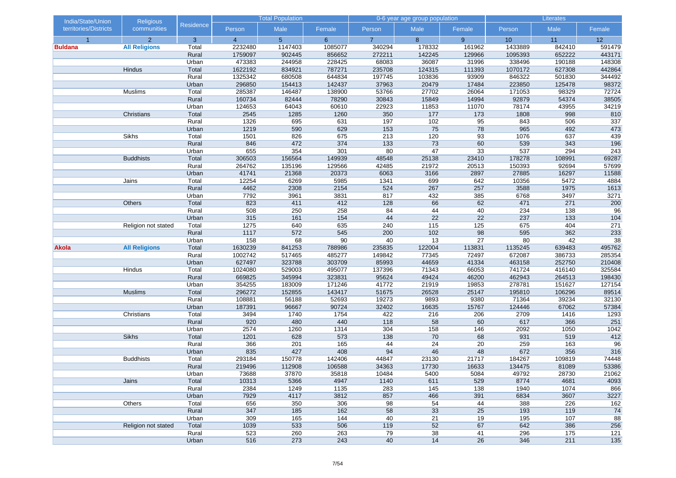| India/State/Union     | Religious            |                |                | <b>Total Population</b> |              |                | 0-6 year age group population |                |              | Literates    |             |
|-----------------------|----------------------|----------------|----------------|-------------------------|--------------|----------------|-------------------------------|----------------|--------------|--------------|-------------|
| territories/Districts | communities          | Residence      | Person         | Male                    | Female       | Person         | Male                          | Female         | Person       | Male         | Female      |
| $\overline{1}$        | 2                    | $\overline{3}$ | $\overline{4}$ | 5 <sup>5</sup>          | $6^{\circ}$  | $\overline{7}$ | 8                             | 9 <sup>°</sup> | 10           | 11           | 12          |
| <b>Buldana</b>        | <b>All Religions</b> | Total          | 2232480        | 1147403                 | 1085077      | 340294         | 178332                        | 161962         | 1433889      | 842410       | 591479      |
|                       |                      | Rural          | 1759097        | 902445                  | 856652       | 272211         | 142245                        | 129966         | 1095393      | 652222       | 443171      |
|                       |                      | Urban          | 473383         | 244958                  | 228425       | 68083          | 36087                         | 31996          | 338496       | 190188       | 148308      |
|                       | Hindus               | Total          | 1622192        | 834921                  | 787271       | 235708         | 124315                        | 111393         | 1070172      | 627308       | 442864      |
|                       |                      | Rural          | 1325342        | 680508                  | 644834       | 197745         | 103836                        | 93909          | 846322       | 501830       | 344492      |
|                       |                      | Urban          | 296850         | 154413                  | 142437       | 37963          | 20479                         | 17484          | 223850       | 125478       | 98372       |
|                       | Muslims              | Total          | 285387         | 146487                  | 138900       | 53766          | 27702                         | 26064          | 171053       | 98329        | 72724       |
|                       |                      | Rural          | 160734         | 82444                   | 78290        | 30843          | 15849                         | 14994          | 92879        | 54374        | 38505       |
|                       |                      | Urban          | 124653         | 64043                   | 60610        | 22923          | 11853                         | 11070          | 78174        | 43955        | 34219       |
|                       | Christians           | Total          | 2545           | 1285                    | 1260         | 350            | 177                           | 173            | 1808         | 998          | 810         |
|                       |                      | Rural          | 1326           | 695                     | 631          | 197            | 102<br>75                     | 95<br>78       | 843<br>965   | 506<br>492   | 337         |
|                       | Sikhs                | Urban<br>Total | 1219<br>1501   | 590<br>826              | 629<br>675   | 153<br>213     | 120                           | 93             | 1076         | 637          | 473<br>439  |
|                       |                      | Rural          | 846            | 472                     | 374          | 133            | 73                            | 60             | 539          | 343          | 196         |
|                       |                      | Urban          | 655            | 354                     | 301          | 80             | 47                            | 33             | 537          | 294          | 243         |
|                       | <b>Buddhists</b>     | Total          | 306503         | 156564                  | 149939       | 48548          | 25138                         | 23410          | 178278       | 108991       | 69287       |
|                       |                      | Rural          | 264762         | 135196                  | 129566       | 42485          | 21972                         | 20513          | 150393       | 92694        | 57699       |
|                       |                      | Urban          | 41741          | 21368                   | 20373        | 6063           | 3166                          | 2897           | 27885        | 16297        | 11588       |
|                       | Jains                | Total          | 12254          | 6269                    | 5985         | 1341           | 699                           | 642            | 10356        | 5472         | 4884        |
|                       |                      | Rural          | 4462           | 2308                    | 2154         | 524            | 267                           | 257            | 3588         | 1975         | 1613        |
|                       |                      | Urban          | 7792           | 3961                    | 3831         | 817            | 432                           | 385            | 6768         | 3497         | 3271        |
|                       | Others               | Total          | 823            | 411                     | 412          | 128            | 66                            | 62             | 471          | 271          | 200         |
|                       |                      | Rural          | 508            | 250                     | 258          | 84             | 44                            | 40             | 234          | 138          | 96          |
|                       |                      | Urban          | 315            | 161                     | 154          | 44             | 22                            | 22             | 237          | 133          | $104$       |
|                       | Religion not stated  | Total          | 1275           | 640                     | 635          | 240            | 115                           | 125            | 675          | 404          | 271         |
|                       |                      | Rural          | 1117           | 572                     | 545          | 200            | 102                           | 98             | 595          | 362          | 233         |
|                       |                      | Urban          | 158            | 68                      | 90           | 40             | 13                            | 27             | 80           | 42           | 38          |
| Akola                 | <b>All Religions</b> | Total          | 1630239        | 841253                  | 788986       | 235835         | 122004                        | 113831         | 1135245      | 639483       | 495762      |
|                       |                      | Rural          | 1002742        | 517465                  | 485277       | 149842         | 77345                         | 72497          | 672087       | 386733       | 285354      |
|                       |                      | Urban          | 627497         | 323788                  | 303709       | 85993          | 44659                         | 41334          | 463158       | 252750       | 210408      |
|                       | Hindus               | Total          | 1024080        | 529003                  | 495077       | 137396         | 71343                         | 66053          | 741724       | 416140       | 325584      |
|                       |                      | Rural          | 669825         | 345994                  | 323831       | 95624          | 49424                         | 46200          | 462943       | 264513       | 198430      |
|                       |                      | Urban          | 354255         | 183009                  | 171246       | 41772          | 21919                         | 19853          | 278781       | 151627       | 127154      |
|                       | <b>Muslims</b>       | Total          | 296272         | 152855                  | 143417       | 51675          | 26528                         | 25147          | 195810       | 106296       | 89514       |
|                       |                      | Rural          | 108881         | 56188                   | 52693        | 19273          | 9893                          | 9380           | 71364        | 39234        | 32130       |
|                       |                      | Urban          | 187391         | 96667                   | 90724        | 32402          | 16635                         | 15767          | 124446       | 67062        | 57384       |
|                       | Christians           | Total          | 3494           | 1740                    | 1754         | 422            | 216                           | 206            | 2709         | 1416         | 1293        |
|                       |                      | Rural          | 920            | 480                     | 440          | 118            | 58                            | 60             | 617          | 366          | 251         |
|                       |                      | Urban          | 2574           | 1260                    | 1314         | 304            | 158                           | 146            | 2092         | 1050         | 1042        |
|                       | <b>Sikhs</b>         | Total          | 1201           | 628                     | 573          | 138            | 70                            | 68             | 931          | 519          | 412         |
|                       |                      | Rural          | 366            | 201                     | 165          | 44             | 24                            | 20             | 259          | 163          | 96          |
|                       |                      | Urban          | 835            | 427                     | 408          | 94             | 46                            | 48             | 672          | 356          | 316         |
|                       | <b>Buddhists</b>     | Total          | 293184         | 150778                  | 142406       | 44847          | 23130                         | 21717          | 184267       | 109819       | 74448       |
|                       |                      | Rural          | 219496         | 112908                  | 106588       | 34363          | 17730                         | 16633          | 134475       | 81089        | 53386       |
|                       |                      | Urban          | 73688          | 37870                   | 35818        | 10484          | 5400                          | 5084           | 49792        | 28730        | 21062       |
|                       | Jains                | Total          | 10313          | 5366                    | 4947         | 1140           | 611                           | 529            | 8774         | 4681         | 4093        |
|                       |                      | Rural          | 2384<br>7929   | 1249<br>4117            | 1135<br>3812 | 283<br>857     | 145<br>466                    | 138<br>391     | 1940<br>6834 | 1074<br>3607 | 866         |
|                       |                      | Urban<br>Total | 656            | 350                     | 306          | 98             | 54                            | 44             | 388          | 226          | 3227<br>162 |
|                       | Others               | Rural          | 347            | 185                     | 162          | 58             |                               |                | 193          | 119          |             |
|                       |                      | Urban          | 309            | 165                     | 144          | 40             | 33<br>21                      | 25<br>19       | 195          | 107          | 74<br>88    |
|                       | Religion not stated  | Total          | 1039           | 533                     | 506          | 119            | 52                            | 67             | 642          | 386          | 256         |
|                       |                      | Rural          | 523            | 260                     | 263          | 79             | 38                            | 41             | 296          | 175          | 121         |
|                       |                      | Urban          | 516            | 273                     | 243          | 40             | 14                            | 26             | 346          | 211          | 135         |
|                       |                      |                |                |                         |              |                |                               |                |              |              |             |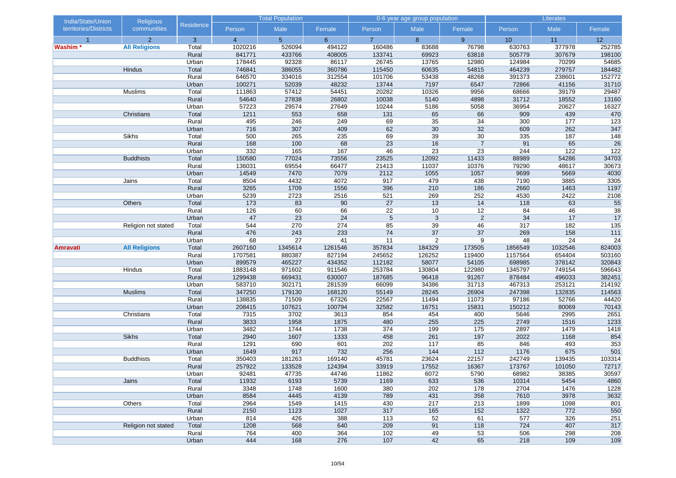| India/State/Union     | Religious            |                  |                | <b>Total Population</b> |             |                 | 0-6 year age group population |                |             | Literates  |                  |
|-----------------------|----------------------|------------------|----------------|-------------------------|-------------|-----------------|-------------------------------|----------------|-------------|------------|------------------|
| territories/Districts | communities          | <b>Residence</b> | Person         | Male                    | Female      | Person          | Male                          | Female         | Person      | Male       | Female           |
|                       | $\overline{2}$       | $\overline{3}$   | $\overline{4}$ | 5 <sup>5</sup>          | $6^{\circ}$ | $\overline{7}$  | 8                             | 9              | 10          | 11         | 12               |
| Washim *              | <b>All Religions</b> | Total            | 1020216        | 526094                  | 494122      | 160486          | 83688                         | 76798          | 630763      | 377978     | 252785           |
|                       |                      | Rural            | 841771         | 433766                  | 408005      | 133741          | 69923                         | 63818          | 505779      | 307679     | 198100           |
|                       |                      | Urban            | 178445         | 92328                   | 86117       | 26745           | 13765                         | 12980          | 124984      | 70299      | 54685            |
|                       | Hindus               | Total            | 746841         | 386055                  | 360786      | 115450          | 60635                         | 54815          | 464239      | 279757     | 184482           |
|                       |                      | Rural            | 646570         | 334016                  | 312554      | 101706          | 53438                         | 48268          | 391373      | 238601     | 152772           |
|                       |                      | Urban            | 100271         | 52039                   | 48232       | 13744           | 7197                          | 6547           | 72866       | 41156      | 31710            |
|                       | Muslims              | Total            | 111863         | 57412                   | 54451       | 20282           | 10326                         | 9956           | 68666       | 39179      | 29487            |
|                       |                      | Rural            | 54640          | 27838                   | 26802       | 10038           | 5140                          | 4898           | 31712       | 18552      | 13160            |
|                       |                      | Urban            | 57223          | 29574                   | 27649       | 10244           | 5186                          | 5058           | 36954       | 20627      | 16327            |
|                       | Christians           | Total            | 1211           | 553                     | 658         | 131             | 65                            | 66             | 909         | 439        | 470              |
|                       |                      | Rural            | 495<br>716     | 246<br>307              | 249<br>409  | 69<br>62        | 35<br>30                      | 34<br>32       | 300<br>609  | 177<br>262 | 123<br>347       |
|                       | <b>Sikhs</b>         | Urban<br>Total   | 500            | 265                     | 235         | 69              | 39                            | 30             | 335         | 187        | 148              |
|                       |                      | Rural            | 168            | 100                     | 68          | $\overline{23}$ | 16                            | $\overline{7}$ | 91          | 65         | 26               |
|                       |                      | Urban            | 332            | 165                     | 167         | 46              | 23                            | 23             | 244         | 122        | 122              |
|                       | <b>Buddhists</b>     | Total            | 150580         | 77024                   | 73556       | 23525           | 12092                         | 11433          | 88989       | 54286      | 34703            |
|                       |                      | Rural            | 136031         | 69554                   | 66477       | 21413           | 11037                         | 10376          | 79290       | 48617      | 30673            |
|                       |                      | Urban            | 14549          | 7470                    | 7079        | 2112            | 1055                          | 1057           | 9699        | 5669       | 4030             |
|                       | Jains                | Total            | 8504           | 4432                    | 4072        | 917             | 479                           | 438            | 7190        | 3885       | 3305             |
|                       |                      | Rural            | 3265           | 1709                    | 1556        | 396             | 210                           | 186            | 2660        | 1463       | 1197             |
|                       |                      | Urban            | 5239           | 2723                    | 2516        | 521             | 269                           | 252            | 4530        | 2422       | 2108             |
|                       | Others               | Total            | 173            | 83                      | 90          | 27              | 13                            | 14             | 118         | 63         | 55               |
|                       |                      | Rural            | 126            | 60                      | 66          | 22              | 10                            | 12             | 84          | 46         | 38               |
|                       |                      | Urban            | 47             | 23                      | 24          | 5               | 3                             | $\overline{2}$ | 34          | 17         | 17               |
|                       | Religion not stated  | Total            | 544            | 270                     | 274         | 85              | 39                            | 46             | 317         | 182        | $\overline{135}$ |
|                       |                      | Rural            | 476            | 243                     | 233         | 74              | 37                            | 37             | 269         | 158        | 111              |
|                       |                      | Urban            | 68             | 27                      | 41          | 11              | $\overline{c}$                | 9              | 48          | 24         | 24               |
| <b>Amravati</b>       | <b>All Religions</b> | Total            | 2607160        | 1345614                 | 1261546     | 357834          | 184329                        | 173505         | 1856549     | 1032546    | 824003           |
|                       |                      | Rural            | 1707581        | 880387                  | 827194      | 245652          | 126252                        | 119400         | 1157564     | 654404     | 503160           |
|                       |                      | Urban            | 899579         | 465227                  | 434352      | 112182          | 58077                         | 54105          | 698985      | 378142     | 320843           |
|                       | Hindus               | Total            | 1883148        | 971602                  | 911546      | 253784          | 130804                        | 122980         | 1345797     | 749154     | 596643           |
|                       |                      | Rural            | 1299438        | 669431                  | 630007      | 187685          | 96418                         | 91267          | 878484      | 496033     | 382451           |
|                       |                      | Urban            | 583710         | 302171                  | 281539      | 66099           | 34386                         | 31713          | 467313      | 253121     | 214192           |
|                       | <b>Muslims</b>       | Total            | 347250         | 179130                  | 168120      | 55149           | 28245                         | 26904          | 247398      | 132835     | 114563           |
|                       |                      | Rural            | 138835         | 71509                   | 67326       | 22567           | 11494                         | 11073          | 97186       | 52766      | 44420            |
|                       |                      | Urban            | 208415         | 107621                  | 100794      | 32582           | 16751                         | 15831          | 150212      | 80069      | 70143            |
|                       | Christians           | Total            | 7315           | 3702                    | 3613        | 854             | 454                           | 400            | 5646        | 2995       | 2651             |
|                       |                      | Rural            | 3833           | 1958                    | 1875        | 480             | 255                           | 225            | 2749        | 1516       | 1233             |
|                       |                      | Urban            | 3482           | 1744                    | 1738        | 374             | 199                           | 175            | 2897        | 1479       | 1418             |
|                       | <b>Sikhs</b>         | Total            | 2940           | 1607                    | 1333        | 458             | 261                           | 197            | 2022        | 1168       | 854              |
|                       |                      | Rural<br>Urban   | 1291<br>1649   | 690<br>917              | 601<br>732  | 202<br>256      | 117<br>144                    | 85<br>112      | 846<br>1176 | 493<br>675 | 353<br>501       |
|                       | <b>Buddhists</b>     | Total            | 350403         | 181263                  | 169140      | 45781           | 23624                         | 22157          | 242749      | 139435     | 103314           |
|                       |                      | Rural            | 257922         | 133528                  | 124394      | 33919           | 17552                         | 16367          | 173767      | 101050     | 72717            |
|                       |                      | Urban            | 92481          | 47735                   | 44746       | 11862           | 6072                          | 5790           | 68982       | 38385      | 30597            |
|                       | Jains                | Total            | 11932          | 6193                    | 5739        | 1169            | 633                           | 536            | 10314       | 5454       | 4860             |
|                       |                      | Rural            | 3348           | 1748                    | 1600        | 380             | 202                           | 178            | 2704        | 1476       | 1228             |
|                       |                      | Urban            | 8584           | 4445                    | 4139        | 789             | 431                           | 358            | 7610        | 3978       | 3632             |
|                       | Others               | Total            | 2964           | 1549                    | 1415        | 430             | 217                           | 213            | 1899        | 1098       | 801              |
|                       |                      | Rural            | 2150           | 1123                    | 1027        | 317             | 165                           | 152            | 1322        | 772        | 550              |
|                       |                      | Urban            | 814            | 426                     | 388         | 113             | 52                            | 61             | 577         | 326        | 251              |
|                       | Religion not stated  | Total            | 1208           | 568                     | 640         | 209             | 91                            | 118            | 724         | 407        | 317              |
|                       |                      | Rural            | 764            | 400                     | 364         | 102             | 49                            | 53             | 506         | 298        | 208              |
|                       |                      | Urban            | 444            | 168                     | 276         | 107             | 42                            | 65             | 218         | 109        | 109              |
|                       |                      |                  |                |                         |             |                 |                               |                |             |            |                  |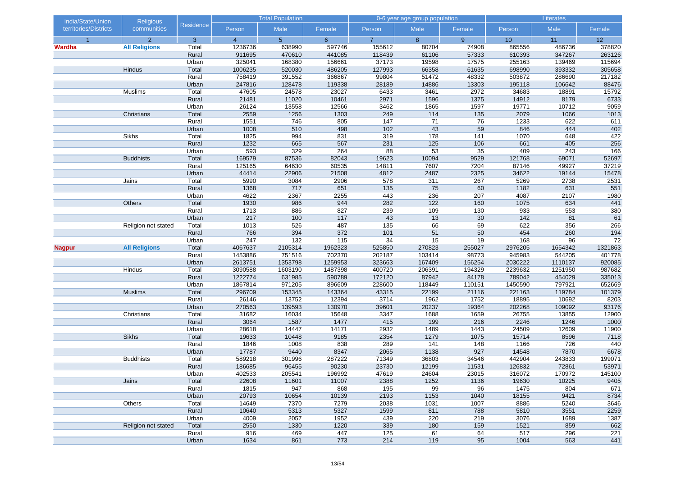| India/State/Union     | <b>Religious</b>     |                |                | <b>Total Population</b> |             |                | 0-6 year age group population |          | Literates   |            |              |
|-----------------------|----------------------|----------------|----------------|-------------------------|-------------|----------------|-------------------------------|----------|-------------|------------|--------------|
| territories/Districts | communities          | Residence      | Person         | Male                    | Female      | Person         | Male                          | Female   | Person      | Male       | Female       |
| $\overline{1}$        | $\overline{2}$       | 3              | $\overline{4}$ | 5 <sup>5</sup>          | $6^{\circ}$ | $\overline{7}$ | 8                             | 9        | 10          | 11         | 12           |
| <b>Wardha</b>         | <b>All Religions</b> | Total          | 1236736        | 638990                  | 597746      | 155612         | 80704                         | 74908    | 865556      | 486736     | 378820       |
|                       |                      | Rural          | 911695         | 470610                  | 441085      | 118439         | 61106                         | 57333    | 610393      | 347267     | 263126       |
|                       |                      | Urban          | 325041         | 168380                  | 156661      | 37173          | 19598                         | 17575    | 255163      | 139469     | 115694       |
|                       | Hindus               | Total          | 1006235        | 520030                  | 486205      | 127993         | 66358                         | 61635    | 698990      | 393332     | 305658       |
|                       |                      | Rural          | 758419         | 391552                  | 366867      | 99804          | 51472                         | 48332    | 503872      | 286690     | 217182       |
|                       |                      | Urban          | 247816         | 128478                  | 119338      | 28189          | 14886                         | 13303    | 195118      | 106642     | 88476        |
|                       | Muslims              | Total          | 47605          | 24578                   | 23027       | 6433           | 3461                          | 2972     | 34683       | 18891      | 15792        |
|                       |                      | Rural          | 21481          | 11020                   | 10461       | 2971           | 1596                          | 1375     | 14912       | 8179       | 6733         |
|                       |                      | Urban          | 26124          | 13558                   | 12566       | 3462           | 1865                          | 1597     | 19771       | 10712      | 9059         |
|                       | Christians           | Total          | 2559           | 1256                    | 1303        | 249            | 114                           | 135      | 2079        | 1066       | 1013         |
|                       |                      | Rural          | 1551           | 746<br>510              | 805         | 147<br>102     | 71<br>43                      | 76<br>59 | 1233<br>846 | 622<br>444 | 611          |
|                       | Sikhs                | Urban          | 1008<br>1825   | 994                     | 498<br>831  | 319            | 178                           | 141      | 1070        | 648        | 402<br>422   |
|                       |                      | Total<br>Rural | 1232           | 665                     | 567         | 231            | 125                           | 106      | 661         | 405        | 256          |
|                       |                      | Urban          | 593            | 329                     | 264         | 88             | 53                            | 35       | 409         | 243        |              |
|                       | <b>Buddhists</b>     | Total          | 169579         | 87536                   | 82043       | 19623          | 10094                         | 9529     | 121768      | 69071      | 166<br>52697 |
|                       |                      | Rural          | 125165         | 64630                   | 60535       | 14811          | 7607                          | 7204     | 87146       | 49927      | 37219        |
|                       |                      | Urban          | 44414          | 22906                   | 21508       | 4812           | 2487                          | 2325     | 34622       | 19144      | 15478        |
|                       | Jains                | Total          | 5990           | 3084                    | 2906        | 578            | 311                           | 267      | 5269        | 2738       | 2531         |
|                       |                      | Rural          | 1368           | 717                     | 651         | 135            | 75                            | 60       | 1182        | 631        | 551          |
|                       |                      | Urban          | 4622           | 2367                    | 2255        | 443            | 236                           | 207      | 4087        | 2107       | 1980         |
|                       | Others               | Total          | 1930           | 986                     | 944         | 282            | 122                           | 160      | 1075        | 634        | 441          |
|                       |                      | Rural          | 1713           | 886                     | 827         | 239            | 109                           | 130      | 933         | 553        | 380          |
|                       |                      | Urban          | 217            | 100                     | 117         | 43             | 13                            | 30       | 142         | 81         | 61           |
|                       | Religion not stated  | Total          | 1013           | 526                     | 487         | 135            | 66                            | 69       | 622         | 356        | 266          |
|                       |                      | Rural          | 766            | 394                     | 372         | 101            | 51                            | 50       | 454         | 260        | 194          |
|                       |                      | Urban          | 247            | 132                     | 115         | 34             | 15                            | 19       | 168         | 96         | 72           |
| <b>Nagpur</b>         | <b>All Religions</b> | Total          | 4067637        | 2105314                 | 1962323     | 525850         | 270823                        | 255027   | 2976205     | 1654342    | 1321863      |
|                       |                      | Rural          | 1453886        | 751516                  | 702370      | 202187         | 103414                        | 98773    | 945983      | 544205     | 401778       |
|                       |                      | Urban          | 2613751        | 1353798                 | 1259953     | 323663         | 167409                        | 156254   | 2030222     | 1110137    | 920085       |
|                       | Hindus               | Total          | 3090588        | 1603190                 | 1487398     | 400720         | 206391                        | 194329   | 2239632     | 1251950    | 987682       |
|                       |                      | Rural          | 1222774        | 631985                  | 590789      | 172120         | 87942                         | 84178    | 789042      | 454029     | 335013       |
|                       |                      | Urban          | 1867814        | 971205                  | 896609      | 228600         | 118449                        | 110151   | 1450590     | 797921     | 652669       |
|                       | <b>Muslims</b>       | Total          | 296709         | 153345                  | 143364      | 43315          | 22199                         | 21116    | 221163      | 119784     | 101379       |
|                       |                      | Rural          | 26146          | 13752                   | 12394       | 3714           | 1962                          | 1752     | 18895       | 10692      | 8203         |
|                       |                      | Urban          | 270563         | 139593                  | 130970      | 39601          | 20237                         | 19364    | 202268      | 109092     | 93176        |
|                       | Christians           | Total          | 31682          | 16034                   | 15648       | 3347           | 1688                          | 1659     | 26755       | 13855      | 12900        |
|                       |                      | Rural          | 3064           | 1587                    | 1477        | 415            | 199                           | 216      | 2246        | 1246       | 1000         |
|                       |                      | Urban          | 28618          | 14447                   | 14171       | 2932           | 1489                          | 1443     | 24509       | 12609      | 11900        |
|                       | <b>Sikhs</b>         | Total          | 19633          | 10448                   | 9185        | 2354           | 1279                          | 1075     | 15714       | 8596       | 7118         |
|                       |                      | Rural          | 1846           | 1008                    | 838         | 289            | 141                           | 148      | 1166        | 726        | 440          |
|                       |                      | Urban          | 17787          | 9440                    | 8347        | 2065           | 1138                          | 927      | 14548       | 7870       | 6678         |
|                       | <b>Buddhists</b>     | Total          | 589218         | 301996                  | 287222      | 71349          | 36803                         | 34546    | 442904      | 243833     | 199071       |
|                       |                      | Rural          | 186685         | 96455                   | 90230       | 23730          | 12199                         | 11531    | 126832      | 72861      | 53971        |
|                       |                      | Urban          | 402533         | 205541                  | 196992      | 47619          | 24604                         | 23015    | 316072      | 170972     | 145100       |
|                       | Jains                | Total          | 22608          | 11601                   | 11007       | 2388           | 1252                          | 1136     | 19630       | 10225      | 9405         |
|                       |                      | Rural          | 1815           | 947                     | 868         | 195            | 99                            | 96       | 1475        | 804        | 671          |
|                       |                      | Urban          | 20793          | 10654                   | 10139       | 2193           | 1153                          | 1040     | 18155       | 9421       | 8734         |
|                       | Others               | Total          | 14649          | 7370                    | 7279        | 2038           | 1031                          | 1007     | 8886        | 5240       | 3646         |
|                       |                      | Rural          | 10640          | 5313                    | 5327        | 1599           | 811                           | 788      | 5810        | 3551       | 2259         |
|                       |                      | Urban          | 4009           | 2057                    | 1952        | 439            | 220                           | 219      | 3076        | 1689       | 1387         |
|                       | Religion not stated  | Total          | 2550           | 1330                    | 1220        | 339            | 180                           | 159      | 1521        | 859        | 662          |
|                       |                      | Rural          | 916            | 469                     | 447         | 125            | 61                            | 64       | 517         | 296        | 221          |
|                       |                      | Urban          | 1634           | 861                     | 773         | 214            | 119                           | 95       | 1004        | 563        | 441          |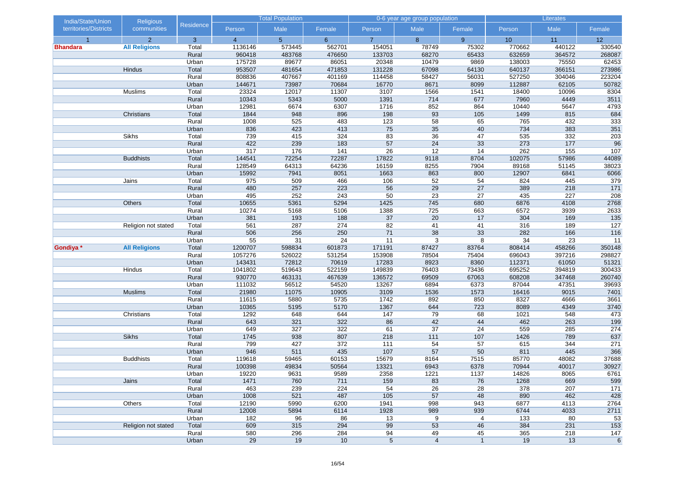| India/State/Union     | <b>Religious</b>     |                |                | <b>Total Population</b> |             |                | 0-6 year age group population |                 | Literates        |            |                 |
|-----------------------|----------------------|----------------|----------------|-------------------------|-------------|----------------|-------------------------------|-----------------|------------------|------------|-----------------|
| territories/Districts | communities          | Residence      | Person         | Male                    | Female      | Person         | Male                          | Female          | Person           | Male       | Female          |
| $\overline{1}$        | $\overline{2}$       | 3              | $\overline{4}$ | 5 <sup>5</sup>          | $6^{\circ}$ | $\overline{7}$ | 8                             | 9               | 10               | 11         | 12              |
| <b>Bhandara</b>       | <b>All Religions</b> | Total          | 1136146        | 573445                  | 562701      | 154051         | 78749                         | 75302           | 770662           | 440122     | 330540          |
|                       |                      | Rural          | 960418         | 483768                  | 476650      | 133703         | 68270                         | 65433           | 632659           | 364572     | 268087          |
|                       |                      | Urban          | 175728         | 89677                   | 86051       | 20348          | 10479                         | 9869            | 138003           | 75550      | 62453           |
|                       | Hindus               | Total          | 953507         | 481654                  | 471853      | 131228         | 67098                         | 64130           | 640137           | 366151     | 273986          |
|                       |                      | Rural          | 808836         | 407667                  | 401169      | 114458         | 58427                         | 56031           | 527250           | 304046     | 223204          |
|                       |                      | Urban          | 144671         | 73987                   | 70684       | 16770          | 8671                          | 8099            | 112887           | 62105      | 50782           |
|                       | Muslims              | Total          | 23324          | 12017                   | 11307       | 3107           | 1566                          | 1541            | 18400            | 10096      | 8304            |
|                       |                      | Rural          | 10343          | 5343                    | 5000        | 1391           | 714                           | 677             | 7960             | 4449       | 3511            |
|                       |                      | Urban          | 12981          | 6674                    | 6307        | 1716           | 852                           | 864             | 10440            | 5647       | 4793            |
|                       | Christians           | Total          | 1844           | 948                     | 896         | 198            | 93                            | 105             | 1499             | 815        | 684             |
|                       |                      | Rural          | 1008           | 525                     | 483<br>413  | 123<br>75      | $\overline{58}$<br>35         | 65              | 765<br>734       | 432        | 333<br>351      |
|                       | Sikhs                | Urban          | 836<br>739     | 423<br>415              | 324         | 83             | 36                            | 40<br>47        | 535              | 383<br>332 | 203             |
|                       |                      | Total<br>Rural | 422            | 239                     | 183         | 57             | 24                            | 33              | 273              | 177        | 96              |
|                       |                      | Urban          | 317            | 176                     | 141         | 26             | 12                            | 14              | 262              | 155        | 107             |
|                       | <b>Buddhists</b>     | Total          | 144541         | 72254                   | 72287       | 17822          | 9118                          | 8704            | 102075           | 57986      | 44089           |
|                       |                      | Rural          | 128549         | 64313                   | 64236       | 16159          | 8255                          | 7904            | 89168            | 51145      | 38023           |
|                       |                      | Urban          | 15992          | 7941                    | 8051        | 1663           | 863                           | 800             | 12907            | 6841       | 6066            |
|                       | Jains                | Total          | 975            | 509                     | 466         | 106            | 52                            | 54              | 824              | 445        | 379             |
|                       |                      | Rural          | 480            | 257                     | 223         | 56             | 29                            | 27              | 389              | 218        | 171             |
|                       |                      | Urban          | 495            | 252                     | 243         | 50             | $\overline{23}$               | $\overline{27}$ | 435              | 227        | 208             |
|                       | Others               | Total          | 10655          | 5361                    | 5294        | 1425           | 745                           | 680             | 6876             | 4108       | 2768            |
|                       |                      | Rural          | 10274          | 5168                    | 5106        | 1388           | 725                           | 663             | 6572             | 3939       | 2633            |
|                       |                      | Urban          | 381            | 193                     | 188         | 37             | 20                            | 17              | 304              | 169        | 135             |
|                       | Religion not stated  | Total          | 561            | 287                     | 274         | 82             | 41                            | 41              | 316              | 189        | 127             |
|                       |                      | Rural          | 506            | 256                     | 250         | 71             | 38                            | 33              | 282              | 166        | 116             |
|                       |                      | Urban          | 55             | 31                      | 24          | 11             | 3                             | 8               | 34               | 23         | $\overline{11}$ |
| Gondiya *             | <b>All Religions</b> | Total          | 1200707        | 598834                  | 601873      | 171191         | 87427                         | 83764           | 808414           | 458266     | 350148          |
|                       |                      | Rural          | 1057276        | 526022                  | 531254      | 153908         | 78504                         | 75404           | 696043           | 397216     | 298827          |
|                       |                      | Urban          | 143431         | 72812                   | 70619       | 17283          | 8923                          | 8360            | 112371           | 61050      | 51321           |
|                       | Hindus               | Total          | 1041802        | 519643                  | 522159      | 149839         | 76403                         | 73436           | 695252           | 394819     | 300433          |
|                       |                      | Rural          | 930770         | 463131                  | 467639      | 136572         | 69509                         | 67063           | 608208           | 347468     | 260740          |
|                       |                      | Urban          | 111032         | 56512                   | 54520       | 13267          | 6894                          | 6373            | 87044            | 47351      | 39693           |
|                       | <b>Muslims</b>       | Total          | 21980          | 11075                   | 10905       | 3109           | 1536                          | 1573            | 16416            | 9015       | 7401            |
|                       |                      | Rural          | 11615          | 5880                    | 5735        | 1742           | 892                           | 850             | 8327             | 4666       | 3661            |
|                       |                      | Urban          | 10365          | 5195                    | 5170        | 1367           | 644                           | 723             | 8089             | 4349       | 3740            |
|                       | Christians           | Total          | 1292           | 648                     | 644         | 147            | 79                            | 68              | 1021             | 548        | 473             |
|                       |                      | Rural          | 643            | 321                     | 322         | 86             | 42                            | 44              | 462              | 263        | 199             |
|                       |                      | Urban          | 649            | 327                     | 322         | 61             | 37                            | 24              | 559              | 285        | 274             |
|                       | <b>Sikhs</b>         | Total          | 1745           | 938                     | 807         | 218            | $111$                         | 107             | 1426             | 789        | 637             |
|                       |                      | Rural          | 799            | 427                     | 372         | 111            | 54                            | 57              | 615              | 344        | 271             |
|                       |                      | Urban          | 946            | 511                     | 435         | 107            | 57                            | 50              | 811              | 445        | 366             |
|                       | <b>Buddhists</b>     | Total          | 119618         | 59465                   | 60153       | 15679          | 8164                          | 7515            | 85770            | 48082      | 37688           |
|                       |                      | Rural          | 100398         | 49834                   | 50564       | 13321          | 6943                          | 6378            | 70944            | 40017      | 30927           |
|                       |                      | Urban          | 19220          | 9631                    | 9589        | 2358           | 1221                          | 1137            | 14826            | 8065       | 6761            |
|                       | Jains                | Total          | 1471           | 760                     | 711         | 159            | 83                            | 76              | 1268             | 669        | 599             |
|                       |                      | Rural          | 463            | 239                     | 224         | 54             | 26                            | 28              | 378              | 207        | 171             |
|                       |                      | Urban          | 1008           | 521                     | 487         | 105            | 57                            | 48              | 890              | 462        | 428             |
|                       | Others               | Total          | 12190          | 5990                    | 6200        | 1941           | 998                           | 943             | 6877             | 4113       | 2764            |
|                       |                      | Rural          | 12008          | 5894                    | 6114        | 1928           | 989                           | 939             | 6744             | 4033       | 2711            |
|                       |                      | Urban          | 182            | 96                      | 86          | 13             | 9                             | 4               | $\overline{133}$ | 80         | 53              |
|                       | Religion not stated  | Total          | 609            | 315                     | 294         | 99             | 53                            | 46              | 384              | 231        | 153             |
|                       |                      | Rural          | 580            | 296                     | 284         | 94             | 49                            | 45              | 365              | 218        | 147             |
|                       |                      | Urban          | 29             | 19                      | 10          | $\sqrt{5}$     | $\overline{4}$                | $\mathbf{1}$    | 19               | 13         | $\,6\,$         |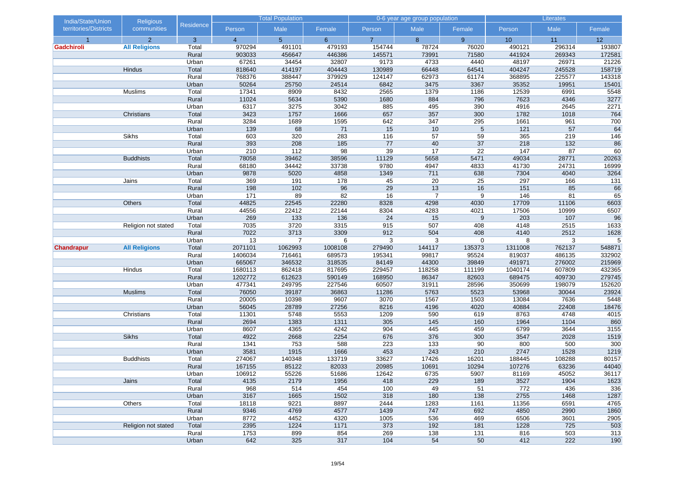| India/State/Union     | <b>Religious</b>     |                |                  | <b>Total Population</b> |              |                | 0-6 year age group population |             |               | Literates    |              |
|-----------------------|----------------------|----------------|------------------|-------------------------|--------------|----------------|-------------------------------|-------------|---------------|--------------|--------------|
| territories/Districts | communities          | Residence      | Person           | Male                    | Female       | Person         | Male                          | Female      | Person        | Male         | Female       |
| $\overline{1}$        | $\overline{2}$       | 3              | $\overline{4}$   | 5 <sup>5</sup>          | $6^{\circ}$  | $\overline{7}$ | 8                             | 9           | 10            | 11           | 12           |
| Gadchiroli            | <b>All Religions</b> | Total          | 970294           | 491101                  | 479193       | 154744         | 78724                         | 76020       | 490121        | 296314       | 193807       |
|                       |                      | Rural          | 903033           | 456647                  | 446386       | 145571         | 73991                         | 71580       | 441924        | 269343       | 172581       |
|                       |                      | Urban          | 67261            | 34454                   | 32807        | 9173           | 4733                          | 4440        | 48197         | 26971        | 21226        |
|                       | Hindus               | Total          | 818640           | 414197                  | 404443       | 130989         | 66448                         | 64541       | 404247        | 245528       | 158719       |
|                       |                      | Rural          | 768376           | 388447                  | 379929       | 124147         | 62973                         | 61174       | 368895        | 225577       | 143318       |
|                       |                      | Urban          | 50264            | 25750                   | 24514        | 6842           | 3475                          | 3367        | 35352         | 19951        | 15401        |
|                       | Muslims              | Total          | 17341            | 8909                    | 8432         | 2565           | 1379                          | 1186        | 12539         | 6991         | 5548         |
|                       |                      | Rural          | 11024            | 5634                    | 5390         | 1680           | 884                           | 796         | 7623          | 4346         | 3277         |
|                       | Christians           | Urban<br>Total | 6317<br>3423     | 3275<br>1757            | 3042<br>1666 | 885<br>657     | 495<br>357                    | 390<br>300  | 4916<br>1782  | 2645<br>1018 | 2271<br>764  |
|                       |                      | Rural          | 3284             | 1689                    | 1595         | 642            | 347                           | 295         | 1661          | 961          | 700          |
|                       |                      |                | 139              | 68                      | 71           | 15             | 10                            | 5           | $121$         | 57           | 64           |
|                       | Sikhs                | Urban<br>Total | 603              | 320                     | 283          | 116            | 57                            | 59          | 365           | 219          | 146          |
|                       |                      | Rural          | 393              | 208                     | 185          | 77             | 40                            | 37          | 218           | $132$        | 86           |
|                       |                      | Urban          | 210              | 112                     | 98           | 39             | 17                            | 22          | 147           | 87           | 60           |
|                       | <b>Buddhists</b>     | Total          | 78058            | 39462                   | 38596        | 11129          | 5658                          | 5471        | 49034         | 28771        | 20263        |
|                       |                      | Rural          | 68180            | 34442                   | 33738        | 9780           | 4947                          | 4833        | 41730         | 24731        | 16999        |
|                       |                      | Urban          | 9878             | 5020                    | 4858         | 1349           | 711                           | 638         | 7304          | 4040         | 3264         |
|                       | Jains                | Total          | 369              | 191                     | 178          | 45             | 20                            | 25          | 297           | 166          | 131          |
|                       |                      | Rural          | 198              | 102                     | 96           | 29             | 13                            | 16          | 151           | 85           | 66           |
|                       |                      | Urban          | $\overline{171}$ | 89                      | 82           | 16             | $\overline{7}$                | 9           | 146           | 81           | 65           |
|                       | Others               | Total          | 44825            | 22545                   | 22280        | 8328           | 4298                          | 4030        | 17709         | 11106        | 6603         |
|                       |                      | Rural          | 44556            | 22412                   | 22144        | 8304           | 4283                          | 4021        | 17506         | 10999        | 6507         |
|                       |                      | Urban          | 269              | 133                     | 136          | 24             | 15                            | 9           | 203           | 107          | 96           |
|                       | Religion not stated  | Total          | 7035             | 3720                    | 3315         | 915            | 507                           | 408         | 4148          | 2515         | 1633         |
|                       |                      | Rural          | 7022             | 3713                    | 3309         | 912            | 504                           | 408         | 4140          | 2512         | 1628         |
|                       |                      | Urban          | 13               | $\overline{7}$          | 6            | 3              | 3                             | $\mathbf 0$ | 8             | 3            | 5            |
| <b>Chandrapur</b>     | <b>All Religions</b> | Total          | 2071101          | 1062993                 | 1008108      | 279490         | 144117                        | 135373      | 1311008       | 762137       | 548871       |
|                       |                      | Rural          | 1406034          | 716461                  | 689573       | 195341         | 99817                         | 95524       | 819037        | 486135       | 332902       |
|                       |                      | Urban          | 665067           | 346532                  | 318535       | 84149          | 44300                         | 39849       | 491971        | 276002       | 215969       |
|                       | Hindus               | Total          | 1680113          | 862418                  | 817695       | 229457         | 118258                        | 111199      | 1040174       | 607809       | 432365       |
|                       |                      | Rural          | 1202772          | 612623                  | 590149       | 168950         | 86347                         | 82603       | 689475        | 409730       | 279745       |
|                       |                      | Urban          | 477341           | 249795                  | 227546       | 60507          | 31911                         | 28596       | 350699        | 198079       | 152620       |
|                       | <b>Muslims</b>       | Total          | 76050            | 39187                   | 36863        | 11286          | 5763                          | 5523        | 53968         | 30044        | 23924        |
|                       |                      | Rural          | 20005            | 10398                   | 9607         | 3070           | 1567                          | 1503        | 13084         | 7636         | 5448         |
|                       |                      | Urban          | 56045            | 28789                   | 27256        | 8216           | 4196                          | 4020        | 40884         | 22408        | 18476        |
|                       | Christians           | Total          | 11301            | 5748                    | 5553         | 1209           | 590                           | 619         | 8763          | 4748         | 4015         |
|                       |                      | Rural          | 2694             | 1383                    | 1311         | 305            | 145                           | 160         | 1964          | 1104         | 860          |
|                       |                      | Urban          | 8607             | 4365                    | 4242         | 904            | 445                           | 459         | 6799          | 3644         | 3155         |
|                       | <b>Sikhs</b>         | Total          | 4922             | 2668                    | 2254         | 676            | 376                           | 300         | 3547          | 2028         | 1519         |
|                       |                      | Rural          | 1341             | 753                     | 588          | 223            | 133                           | 90          | 800           | 500          | 300          |
|                       |                      | Urban          | 3581             | 1915                    | 1666         | 453            | 243                           | 210         | 2747          | 1528         | 1219         |
|                       | <b>Buddhists</b>     | Total          | 274067           | 140348                  | 133719       | 33627          | 17426                         | 16201       | 188445        | 108288       | 80157        |
|                       |                      | Rural          | 167155           | 85122                   | 82033        | 20985          | 10691                         | 10294       | 107276        | 63236        | 44040        |
|                       |                      | Urban          | 106912           | 55226                   | 51686        | 12642          | 6735                          | 5907        | 81169         | 45052        | 36117        |
|                       | Jains                | Total          | 4135<br>968      | 2179                    | 1956<br>454  | 418<br>100     | 229<br>49                     | 189         | 3527<br>772   | 1904<br>436  | 1623         |
|                       |                      | Rural          |                  | 514                     |              |                |                               | 51          |               |              | 336          |
|                       |                      | Urban<br>Total | 3167<br>18118    | 1665<br>9221            | 1502<br>8897 | 318<br>2444    | 180                           | 138<br>1161 | 2755<br>11356 | 1468<br>6591 | 1287<br>4765 |
|                       | Others               |                | 9346             | 4769                    | 4577         | 1439           | 1283<br>747                   | 692         | 4850          | 2990         |              |
|                       |                      | Rural<br>Urban | 8772             | 4452                    | 4320         | 1005           | 536                           | 469         | 6506          | 3601         | 1860<br>2905 |
|                       | Religion not stated  | Total          | 2395             | 1224                    | 1171         | 373            | 192                           | 181         | 1228          | 725          | 503          |
|                       |                      | Rural          | 1753             | 899                     | 854          | 269            | 138                           | 131         | 816           | 503          | 313          |
|                       |                      | Urban          | 642              | 325                     | 317          | 104            | 54                            | 50          | 412           | 222          | 190          |
|                       |                      |                |                  |                         |              |                |                               |             |               |              |              |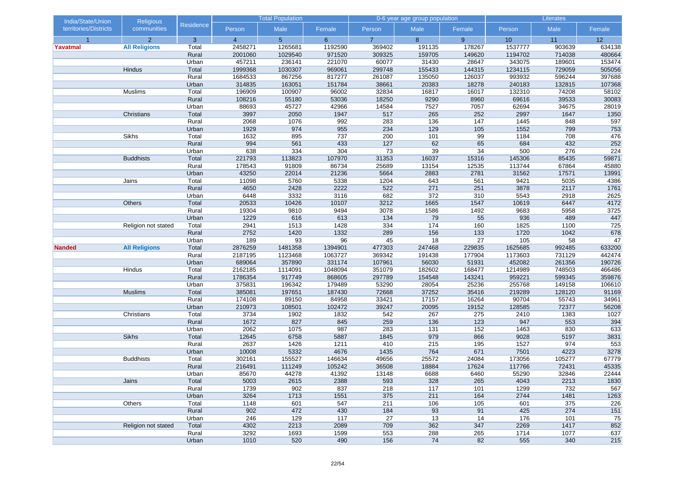| India/State/Union     | <b>Religious</b>     |                |                | <b>Total Population</b> |             |                | 0-6 year age group population |           |              | Literates  |            |
|-----------------------|----------------------|----------------|----------------|-------------------------|-------------|----------------|-------------------------------|-----------|--------------|------------|------------|
| territories/Districts | communities          | Residence      | Person         | Male                    | Female      | Person         | Male                          | Female    | Person       | Male       | Female     |
| $\overline{1}$        | $\overline{2}$       | 3              | $\overline{4}$ | 5 <sup>5</sup>          | $6^{\circ}$ | $\overline{7}$ | 8                             | 9         | 10           | 11         | 12         |
| Yavatmal              | <b>All Religions</b> | Total          | 2458271        | 1265681                 | 1192590     | 369402         | 191135                        | 178267    | 1537777      | 903639     | 634138     |
|                       |                      | Rural          | 2001060        | 1029540                 | 971520      | 309325         | 159705                        | 149620    | 1194702      | 714038     | 480664     |
|                       |                      | Urban          | 457211         | 236141                  | 221070      | 60077          | 31430                         | 28647     | 343075       | 189601     | 153474     |
|                       | Hindus               | Total          | 1999368        | 1030307                 | 969061      | 299748         | 155433                        | 144315    | 1234115      | 729059     | 505056     |
|                       |                      | Rural          | 1684533        | 867256                  | 817277      | 261087         | 135050                        | 126037    | 993932       | 596244     | 397688     |
|                       |                      | Urban          | 314835         | 163051                  | 151784      | 38661          | 20383                         | 18278     | 240183       | 132815     | 107368     |
|                       | Muslims              | Total          | 196909         | 100907                  | 96002       | 32834          | 16817                         | 16017     | 132310       | 74208      | 58102      |
|                       |                      | Rural          | 108216         | 55180                   | 53036       | 18250          | 9290                          | 8960      | 69616        | 39533      | 30083      |
|                       |                      | Urban          | 88693          | 45727                   | 42966       | 14584          | 7527                          | 7057      | 62694        | 34675      | 28019      |
|                       | Christians           | Total          | 3997           | 2050                    | 1947        | 517            | 265                           | 252       | 2997         | 1647       | 1350       |
|                       |                      | Rural          | 2068           | 1076<br>974             | 992         | 283<br>234     | 136                           | 147       | 1445         | 848<br>799 | 597        |
|                       | Sikhs                | Urban          | 1929<br>1632   | 895                     | 955<br>737  | 200            | 129<br>101                    | 105<br>99 | 1552<br>1184 | 708        | 753        |
|                       |                      | Total<br>Rural | 994            | 561                     | 433         | 127            | 62                            | 65        | 684          | 432        | 476<br>252 |
|                       |                      | Urban          | 638            | 334                     | 304         | 73             | 39                            | 34        | 500          | 276        | 224        |
|                       | <b>Buddhists</b>     | Total          | 221793         | 113823                  | 107970      | 31353          | 16037                         | 15316     | 145306       | 85435      | 59871      |
|                       |                      | Rural          | 178543         | 91809                   | 86734       | 25689          | 13154                         | 12535     | 113744       | 67864      | 45880      |
|                       |                      | Urban          | 43250          | 22014                   | 21236       | 5664           | 2883                          | 2781      | 31562        | 17571      | 13991      |
|                       | Jains                | Total          | 11098          | 5760                    | 5338        | 1204           | 643                           | 561       | 9421         | 5035       | 4386       |
|                       |                      | Rural          | 4650           | 2428                    | 2222        | 522            | 271                           | 251       | 3878         | 2117       | 1761       |
|                       |                      | Urban          | 6448           | 3332                    | 3116        | 682            | 372                           | 310       | 5543         | 2918       | 2625       |
|                       | Others               | Total          | 20533          | 10426                   | 10107       | 3212           | 1665                          | 1547      | 10619        | 6447       | 4172       |
|                       |                      | Rural          | 19304          | 9810                    | 9494        | 3078           | 1586                          | 1492      | 9683         | 5958       | 3725       |
|                       |                      | Urban          | 1229           | 616                     | 613         | 134            | 79                            | 55        | 936          | 489        | 447        |
|                       | Religion not stated  | Total          | 2941           | 1513                    | 1428        | 334            | 174                           | 160       | 1825         | 1100       | 725        |
|                       |                      | Rural          | 2752           | 1420                    | 1332        | 289            | 156                           | 133       | 1720         | 1042       | 678        |
|                       |                      | Urban          | 189            | 93                      | 96          | 45             | 18                            | 27        | 105          | 58         | 47         |
| <b>Nanded</b>         | <b>All Religions</b> | Total          | 2876259        | 1481358                 | 1394901     | 477303         | 247468                        | 229835    | 1625685      | 992485     | 633200     |
|                       |                      | Rural          | 2187195        | 1123468                 | 1063727     | 369342         | 191438                        | 177904    | 1173603      | 731129     | 442474     |
|                       |                      | Urban          | 689064         | 357890                  | 331174      | 107961         | 56030                         | 51931     | 452082       | 261356     | 190726     |
|                       | Hindus               | Total          | 2162185        | 1114091                 | 1048094     | 351079         | 182602                        | 168477    | 1214989      | 748503     | 466486     |
|                       |                      | Rural          | 1786354        | 917749                  | 868605      | 297789         | 154548                        | 143241    | 959221       | 599345     | 359876     |
|                       |                      | Urban          | 375831         | 196342                  | 179489      | 53290          | 28054                         | 25236     | 255768       | 149158     | 106610     |
|                       | <b>Muslims</b>       | Total          | 385081         | 197651                  | 187430      | 72668          | 37252                         | 35416     | 219289       | 128120     | 91169      |
|                       |                      | Rural          | 174108         | 89150                   | 84958       | 33421          | 17157                         | 16264     | 90704        | 55743      | 34961      |
|                       |                      | Urban          | 210973         | 108501                  | 102472      | 39247          | 20095                         | 19152     | 128585       | 72377      | 56208      |
|                       | Christians           | Total          | 3734           | 1902                    | 1832        | 542            | 267                           | 275       | 2410         | 1383       | 1027       |
|                       |                      | Rural          | 1672           | 827                     | 845         | 259            | 136                           | 123       | 947          | 553        | 394        |
|                       |                      | Urban          | 2062           | 1075                    | 987         | 283            | 131                           | 152       | 1463         | 830        | 633        |
|                       | <b>Sikhs</b>         | Total          | 12645          | 6758                    | 5887        | 1845           | 979                           | 866       | 9028         | 5197       | 3831       |
|                       |                      | Rural          | 2637           | 1426                    | 1211        | 410            | 215                           | 195       | 1527         | 974        | 553        |
|                       |                      | Urban          | 10008          | 5332                    | 4676        | 1435           | 764                           | 671       | 7501         | 4223       | 3278       |
|                       | <b>Buddhists</b>     | Total          | 302161         | 155527                  | 146634      | 49656          | 25572                         | 24084     | 173056       | 105277     | 67779      |
|                       |                      | Rural          | 216491         | 111249                  | 105242      | 36508          | 18884                         | 17624     | 117766       | 72431      | 45335      |
|                       |                      | Urban          | 85670          | 44278                   | 41392       | 13148          | 6688                          | 6460      | 55290        | 32846      | 22444      |
|                       | Jains                | Total          | 5003           | 2615                    | 2388        | 593            | 328                           | 265       | 4043         | 2213       | 1830       |
|                       |                      | Rural          | 1739           | 902                     | 837         | 218            | 117                           | 101       | 1299         | 732        | 567        |
|                       |                      | Urban          | 3264           | 1713                    | 1551        | 375            | 211                           | 164       | 2744         | 1481       | 1263       |
|                       | Others               | Total          | 1148           | 601                     | 547         | 211            | 106                           | 105       | 601          | 375        | 226        |
|                       |                      | Rural          | 902            | 472                     | 430         | 184            | 93                            | 91        | 425          | 274        | 151        |
|                       |                      | Urban          | 246            | 129                     | 117         | 27             | 13                            | 14        | 176          | 101        | 75         |
|                       | Religion not stated  | Total          | 4302           | 2213                    | 2089        | 709            | 362                           | 347       | 2269         | 1417       | 852        |
|                       |                      | Rural          | 3292           | 1693                    | 1599        | 553            | 288                           | 265       | 1714         | 1077       | 637        |
|                       |                      | Urban          | 1010           | 520                     | 490         | 156            | 74                            | 82        | 555          | 340        | 215        |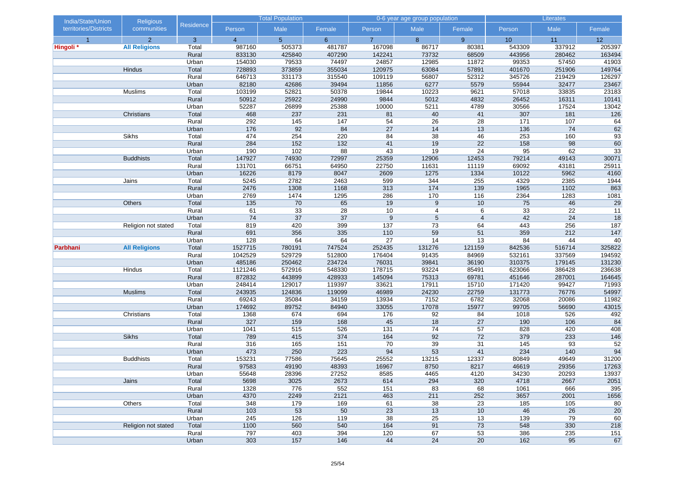| India/State/Union     | <b>Religious</b>     |                |                | <b>Total Population</b> |             |                  | 0-6 year age group population |                 |            | Literates       |             |
|-----------------------|----------------------|----------------|----------------|-------------------------|-------------|------------------|-------------------------------|-----------------|------------|-----------------|-------------|
| territories/Districts | communities          | Residence      | Person         | Male                    | Female      | Person           | Male                          | Female          | Person     | Male            | Female      |
| $\overline{1}$        | $\overline{2}$       | 3              | $\overline{4}$ | 5 <sup>5</sup>          | $6^{\circ}$ | $\overline{7}$   | 8                             | 9               | 10         | 11              | 12          |
| Hingoli *             | <b>All Religions</b> | Total          | 987160         | 505373                  | 481787      | 167098           | 86717                         | 80381           | 543309     | 337912          | 205397      |
|                       |                      | Rural          | 833130         | 425840                  | 407290      | 142241           | 73732                         | 68509           | 443956     | 280462          | 163494      |
|                       |                      | Urban          | 154030         | 79533                   | 74497       | 24857            | 12985                         | 11872           | 99353      | 57450           | 41903       |
|                       | Hindus               | Total          | 728893         | 373859                  | 355034      | 120975           | 63084                         | 57891           | 401670     | 251906          | 149764      |
|                       |                      | Rural          | 646713         | 331173                  | 315540      | 109119           | 56807                         | 52312           | 345726     | 219429          | 126297      |
|                       |                      | Urban          | 82180          | 42686                   | 39494       | 11856            | 6277                          | 5579            | 55944      | 32477           | 23467       |
|                       | Muslims              | Total          | 103199         | 52821                   | 50378       | 19844            | 10223                         | 9621            | 57018      | 33835           | 23183       |
|                       |                      | Rural          | 50912          | 25922                   | 24990       | 9844             | 5012                          | 4832            | 26452      | 16311           | 10141       |
|                       |                      | Urban          | 52287          | 26899                   | 25388       | 10000            | 5211                          | 4789            | 30566      | 17524           | 13042       |
|                       | Christians           | Total          | 468            | 237                     | 231         | 81               | 40                            | 41              | 307        | 181             | 126         |
|                       |                      | Rural          | 292            | 145                     | 147         | $\overline{54}$  | $\overline{26}$               | $\overline{28}$ | 171        | 107             | 64          |
|                       |                      | Urban          | 176            | 92                      | 84          | 27               | 14                            | 13              | 136        | 74              | 62          |
|                       | Sikhs                | Total<br>Rural | 474<br>284     | 254<br>152              | 220<br>132  | 84<br>41         | 38<br>19                      | 46<br>22        | 253<br>158 | 160<br>98       | 93<br>60    |
|                       |                      | Urban          | 190            | 102                     | 88          | 43               | 19                            | 24              | 95         | 62              |             |
|                       | <b>Buddhists</b>     | Total          | 147927         | 74930                   | 72997       | 25359            | 12906                         | 12453           | 79214      | 49143           | 33<br>30071 |
|                       |                      | Rural          | 131701         | 66751                   | 64950       | 22750            | 11631                         | 11119           | 69092      | 43181           | 25911       |
|                       |                      | Urban          | 16226          | 8179                    | 8047        | 2609             | 1275                          | 1334            | 10122      | 5962            | 4160        |
|                       | Jains                | Total          | 5245           | 2782                    | 2463        | 599              | 344                           | 255             | 4329       | 2385            | 1944        |
|                       |                      | Rural          | 2476           | 1308                    | 1168        | 313              | 174                           | 139             | 1965       | 1102            | 863         |
|                       |                      | Urban          | 2769           | 1474                    | 1295        | 286              | 170                           | 116             | 2364       | 1283            | 1081        |
|                       | Others               | Total          | 135            | 70                      | 65          | 19               | 9                             | 10              | 75         | 46              | 29          |
|                       |                      | Rural          | 61             | 33                      | 28          | 10               | 4                             | 6               | 33         | $\overline{22}$ | 11          |
|                       |                      | Urban          | 74             | 37                      | 37          | $\boldsymbol{9}$ | 5                             | $\overline{4}$  | 42         | 24              | 18          |
|                       | Religion not stated  | Total          | 819            | 420                     | 399         | 137              | 73                            | 64              | 443        | 256             | 187         |
|                       |                      | Rural          | 691            | 356                     | 335         | 110              | 59                            | 51              | 359        | 212             | 147         |
|                       |                      | Urban          | 128            | 64                      | 64          | 27               | 14                            | 13              | 84         | 44              | 40          |
| Parbhani              | <b>All Religions</b> | Total          | 1527715        | 780191                  | 747524      | 252435           | 131276                        | 121159          | 842536     | 516714          | 325822      |
|                       |                      | Rural          | 1042529        | 529729                  | 512800      | 176404           | 91435                         | 84969           | 532161     | 337569          | 194592      |
|                       |                      | Urban          | 485186         | 250462                  | 234724      | 76031            | 39841                         | 36190           | 310375     | 179145          | 131230      |
|                       | Hindus               | Total          | 1121246        | 572916                  | 548330      | 178715           | 93224                         | 85491           | 623066     | 386428          | 236638      |
|                       |                      | Rural          | 872832         | 443899                  | 428933      | 145094           | 75313                         | 69781           | 451646     | 287001          | 164645      |
|                       |                      | Urban          | 248414         | 129017                  | 119397      | 33621            | 17911                         | 15710           | 171420     | 99427           | 71993       |
|                       | <b>Muslims</b>       | Total          | 243935         | 124836                  | 119099      | 46989            | 24230                         | 22759           | 131773     | 76776           | 54997       |
|                       |                      | Rural          | 69243          | 35084                   | 34159       | 13934            | 7152                          | 6782            | 32068      | 20086           | 11982       |
|                       |                      | Urban          | 174692         | 89752                   | 84940       | 33055            | 17078                         | 15977           | 99705      | 56690           | 43015       |
|                       | Christians           | Total          | 1368           | 674                     | 694         | 176              | 92                            | 84              | 1018       | 526             | 492         |
|                       |                      | Rural          | 327            | 159                     | 168         | 45               | 18                            | 27              | 190        | 106             | 84          |
|                       |                      | Urban          | 1041           | 515                     | 526         | 131              | 74                            | 57              | 828        | 420             | 408         |
|                       | <b>Sikhs</b>         | Total          | 789            | 415                     | 374         | 164              | 92                            | 72              | 379        | 233             | 146         |
|                       |                      | Rural          | 316            | 165                     | 151         | 70               | 39                            | 31              | 145        | 93              | 52          |
|                       |                      | Urban          | 473            | 250                     | 223         | 94               | 53                            | 41              | 234        | 140             | 94          |
|                       | <b>Buddhists</b>     | Total          | 153231         | 77586                   | 75645       | 25552            | 13215                         | 12337           | 80849      | 49649           | 31200       |
|                       |                      | Rural          | 97583          | 49190                   | 48393       | 16967            | 8750                          | 8217            | 46619      | 29356           | 17263       |
|                       |                      | Urban          | 55648          | 28396                   | 27252       | 8585             | 4465                          | 4120            | 34230      | 20293           | 13937       |
|                       | Jains                | Total          | 5698           | 3025                    | 2673        | 614              | 294                           | 320             | 4718       | 2667            | 2051        |
|                       |                      | Rural          | 1328           | 776                     | 552         | 151              | 83                            | 68              | 1061       | 666             | 395         |
|                       |                      | Urban          | 4370           | 2249                    | 2121        | 463              | 211                           | 252             | 3657       | 2001            | 1656        |
|                       | Others               | Total          | 348            | 179                     | 169         | 61               | 38                            | 23              | 185        | 105             | 80          |
|                       |                      | Rural          | 103            | 53                      | 50          | 23               | 13                            | 10              | 46         | 26              | 20          |
|                       |                      | Urban          | 245            | 126                     | 119         | 38               | 25                            | 13              | 139        | 79              | 60          |
|                       | Religion not stated  | Total          | 1100           | 560                     | 540         | 164              | 91                            | 73              | 548        | 330             | 218         |
|                       |                      | Rural          | 797            | 403                     | 394         | 120              | 67                            | 53              | 386        | 235             | 151         |
|                       |                      | Urban          | 303            | 157                     | 146         | 44               | 24                            | 20              | 162        | 95              | 67          |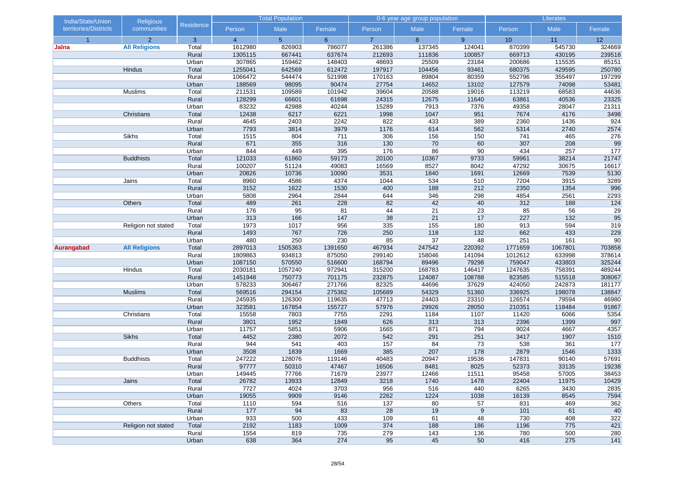| India/State/Union     | <b>Religious</b>     |                | <b>Total Population</b> |                | 0-6 year age group population |                |              | Literates   |               |               |                 |
|-----------------------|----------------------|----------------|-------------------------|----------------|-------------------------------|----------------|--------------|-------------|---------------|---------------|-----------------|
| territories/Districts | communities          | Residence      | Person                  | Male           | Female                        | Person         | Male         | Female      | Person        | Male          | Female          |
| $\overline{1}$        | $\overline{2}$       | 3              | $\overline{4}$          | 5 <sup>5</sup> | $6^{\circ}$                   | $\overline{7}$ | 8            | 9           | 10            | 11            | 12              |
| Jalna                 | <b>All Religions</b> | Total          | 1612980                 | 826903         | 786077                        | 261386         | 137345       | 124041      | 870399        | 545730        | 324669          |
|                       |                      | Rural          | 1305115                 | 667441         | 637674                        | 212693         | 111836       | 100857      | 669713        | 430195        | 239518          |
|                       |                      | Urban          | 307865                  | 159462         | 148403                        | 48693          | 25509        | 23184       | 200686        | 115535        | 85151           |
|                       | Hindus               | Total          | 1255041                 | 642569         | 612472                        | 197917         | 104456       | 93461       | 680375        | 429595        | 250780          |
|                       |                      | Rural          | 1066472                 | 544474         | 521998                        | 170163         | 89804        | 80359       | 552796        | 355497        | 197299          |
|                       |                      | Urban          | 188569                  | 98095          | 90474                         | 27754          | 14652        | 13102       | 127579        | 74098         | 53481           |
|                       | Muslims              | Total          | 211531                  | 109589         | 101942                        | 39604          | 20588        | 19016       | 113219        | 68583         | 44636           |
|                       |                      | Rural          | 128299                  | 66601          | 61698                         | 24315          | 12675        | 11640       | 63861         | 40536         | 23325           |
|                       | Christians           | Urban<br>Total | 83232<br>12438          | 42988<br>6217  | 40244<br>6221                 | 15289<br>1998  | 7913<br>1047 | 7376<br>951 | 49358<br>7674 | 28047<br>4176 | 21311<br>3498   |
|                       |                      | Rural          | 4645                    | 2403           | 2242                          | 822            | 433          | 389         | 2360          | 1436          | 924             |
|                       |                      |                | 7793                    | 3814           | 3979                          | 1176           | 614          | 562         | 5314          | 2740          | 2574            |
|                       | Sikhs                | Urban<br>Total | 1515                    | 804            | 711                           | 306            | 156          | 150         | 741           | 465           | 276             |
|                       |                      | Rural          | 671                     | 355            | 316                           | 130            | 70           | 60          | 307           | 208           | 99              |
|                       |                      | Urban          | 844                     | 449            | 395                           | 176            | 86           | 90          | 434           | 257           | 177             |
|                       | <b>Buddhists</b>     | Total          | 121033                  | 61860          | 59173                         | 20100          | 10367        | 9733        | 59961         | 38214         | 21747           |
|                       |                      | Rural          | 100207                  | 51124          | 49083                         | 16569          | 8527         | 8042        | 47292         | 30675         | 16617           |
|                       |                      | Urban          | 20826                   | 10736          | 10090                         | 3531           | 1840         | 1691        | 12669         | 7539          | 5130            |
|                       | Jains                | Total          | 8960                    | 4586           | 4374                          | 1044           | 534          | 510         | 7204          | 3915          | 3289            |
|                       |                      | Rural          | 3152                    | 1622           | 1530                          | 400            | 188          | 212         | 2350          | 1354          | 996             |
|                       |                      | Urban          | 5808                    | 2964           | 2844                          | 644            | 346          | 298         | 4854          | 2561          | 2293            |
|                       | Others               | Total          | 489                     | 261            | 228                           | 82             | 42           | 40          | 312           | 188           | $124$           |
|                       |                      | Rural          | 176                     | 95             | 81                            | 44             | 21           | 23          | 85            | 56            | $\overline{29}$ |
|                       |                      | Urban          | 313                     | 166            | 147                           | 38             | 21           | 17          | 227           | 132           | 95              |
|                       | Religion not stated  | Total          | 1973                    | 1017           | 956                           | 335            | 155          | 180         | 913           | 594           | 319             |
|                       |                      | Rural          | 1493                    | 767            | 726                           | 250            | 118          | 132         | 662           | 433           | 229             |
|                       |                      | Urban          | 480                     | 250            | 230                           | 85             | 37           | 48          | 251           | 161           | 90              |
| Aurangabad            | <b>All Religions</b> | Total          | 2897013                 | 1505363        | 1391650                       | 467934         | 247542       | 220392      | 1771659       | 1067801       | 703858          |
|                       |                      | Rural          | 1809863                 | 934813         | 875050                        | 299140         | 158046       | 141094      | 1012612       | 633998        | 378614          |
|                       |                      | Urban          | 1087150                 | 570550         | 516600                        | 168794         | 89496        | 79298       | 759047        | 433803        | 325244          |
|                       | Hindus               | Total          | 2030181                 | 1057240        | 972941                        | 315200         | 168783       | 146417      | 1247635       | 758391        | 489244          |
|                       |                      | Rural          | 1451948                 | 750773         | 701175                        | 232875         | 124087       | 108788      | 823585        | 515518        | 308067          |
|                       |                      | Urban          | 578233                  | 306467         | 271766                        | 82325          | 44696        | 37629       | 424050        | 242873        | 181177          |
|                       | <b>Muslims</b>       | Total          | 569516                  | 294154         | 275362                        | 105689         | 54329        | 51360       | 336925        | 198078        | 138847          |
|                       |                      | Rural          | 245935                  | 126300         | 119635                        | 47713          | 24403        | 23310       | 126574        | 79594         | 46980           |
|                       |                      | Urban          | 323581                  | 167854         | 155727                        | 57976          | 29926        | 28050       | 210351        | 118484        | 91867           |
|                       | Christians           | Total          | 15558                   | 7803           | 7755                          | 2291           | 1184         | 1107        | 11420         | 6066          | 5354            |
|                       |                      | Rural          | 3801                    | 1952           | 1849                          | 626            | 313          | 313         | 2396          | 1399          | 997             |
|                       |                      | Urban          | 11757                   | 5851           | 5906                          | 1665           | 871          | 794         | 9024          | 4667          | 4357            |
|                       | <b>Sikhs</b>         | Total          | 4452                    | 2380           | 2072                          | 542            | 291          | 251         | 3417          | 1907          | 1510            |
|                       |                      | Rural          | 944                     | 541            | 403                           | 157            | 84           | 73          | 538           | 361           | 177             |
|                       |                      | Urban          | 3508                    | 1839           | 1669                          | 385            | 207          | 178         | 2879          | 1546          | 1333            |
|                       | <b>Buddhists</b>     | Total          | 247222                  | 128076         | 119146                        | 40483          | 20947        | 19536       | 147831        | 90140         | 57691           |
|                       |                      | Rural          | 97777                   | 50310          | 47467                         | 16506          | 8481         | 8025        | 52373         | 33135         | 19238           |
|                       |                      | Urban          | 149445                  | 77766          | 71679                         | 23977          | 12466        | 11511       | 95458         | 57005         | 38453           |
|                       | Jains                | Total<br>Rural | 26782<br>7727           | 13933<br>4024  | 12849<br>3703                 | 3218<br>956    | 1740<br>516  | 1478<br>440 | 22404<br>6265 | 11975<br>3430 | 10429<br>2835   |
|                       |                      | Urban          | 19055                   | 9909           | 9146                          | 2262           | 1224         | 1038        | 16139         | 8545          | 7594            |
|                       | Others               | Total          | 1110                    | 594            | 516                           | 137            | 80           | 57          | 831           | 469           | 362             |
|                       |                      | Rural          | 177                     | 94             | 83                            | 28             | 19           | 9           | 101           | 61            | 40              |
|                       |                      | Urban          | 933                     | 500            | 433                           | 109            | 61           | 48          | 730           | 408           | 322             |
|                       | Religion not stated  | Total          | 2192                    | 1183           | 1009                          | 374            | 188          | 186         | 1196          | 775           | 421             |
|                       |                      | Rural          | 1554                    | 819            | 735                           | 279            | $143$        | 136         | 780           | 500           | 280             |
|                       |                      | Urban          | 638                     | 364            | 274                           | 95             | 45           | 50          | 416           | 275           | 141             |
|                       |                      |                |                         |                |                               |                |              |             |               |               |                 |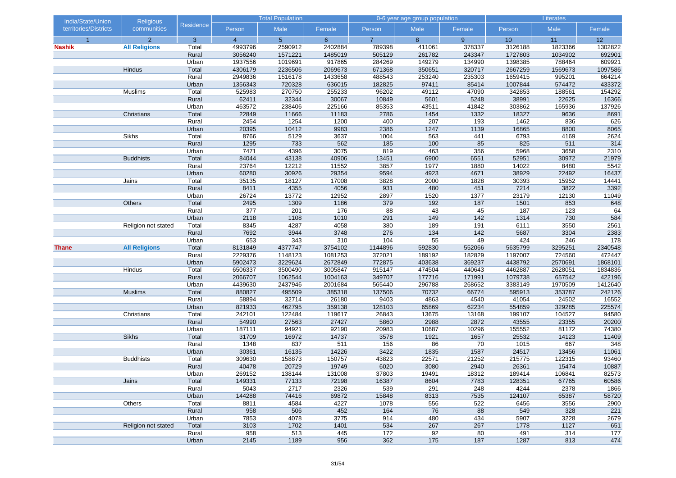| India/State/Union     | <b>Religious</b>     |                |                 | <b>Total Population</b> |                 |                | 0-6 year age group population |               |                 | Literates       |                 |
|-----------------------|----------------------|----------------|-----------------|-------------------------|-----------------|----------------|-------------------------------|---------------|-----------------|-----------------|-----------------|
| territories/Districts | communities          | Residence      | Person          | Male                    | Female          | Person         | Male                          | Female        | Person          | Male            | Female          |
| $\overline{1}$        | $\overline{2}$       | 3              | $\overline{4}$  | 5 <sup>5</sup>          | 6 <sup>°</sup>  | $\overline{7}$ | 8                             | 9             | 10              | 11              | 12              |
| <b>Nashik</b>         | <b>All Religions</b> | Total          | 4993796         | 2590912                 | 2402884         | 789398         | 411061                        | 378337        | 3126188         | 1823366         | 1302822         |
|                       |                      | Rural          | 3056240         | 1571221                 | 1485019         | 505129         | 261782                        | 243347        | 1727803         | 1034902         | 692901          |
|                       |                      | Urban          | 1937556         | 1019691                 | 917865          | 284269         | 149279                        | 134990        | 1398385         | 788464          | 609921          |
|                       | Hindus               | Total          | 4306179         | 2236506                 | 2069673         | 671368         | 350651                        | 320717        | 2667259         | 1569673         | 1097586         |
|                       |                      | Rural          | 2949836         | 1516178                 | 1433658         | 488543         | 253240                        | 235303        | 1659415         | 995201          | 664214          |
|                       |                      | Urban          | 1356343         | 720328                  | 636015          | 182825         | 97411                         | 85414         | 1007844         | 574472          | 433372          |
|                       | Muslims              | Total          | 525983          | 270750                  | 255233          | 96202          | 49112                         | 47090         | 342853          | 188561          | 154292          |
|                       |                      | Rural<br>Urban | 62411<br>463572 | 32344                   | 30067<br>225166 | 10849<br>85353 | 5601<br>43511                 | 5248<br>41842 | 38991<br>303862 | 22625<br>165936 | 16366           |
|                       | Christians           | Total          | 22849           | 238406<br>11666         | 11183           | 2786           | 1454                          | 1332          | 18327           | 9636            | 137926<br>8691  |
|                       |                      | Rural          | 2454            | 1254                    | 1200            | 400            | 207                           | 193           | 1462            | 836             | 626             |
|                       |                      | Urban          | 20395           | 10412                   | 9983            | 2386           | 1247                          | 1139          | 16865           | 8800            | 8065            |
|                       | <b>Sikhs</b>         | Total          | 8766            | 5129                    | 3637            | 1004           | 563                           | 441           | 6793            | 4169            | 2624            |
|                       |                      | Rural          | 1295            | 733                     | 562             | 185            | 100                           | 85            | 825             | 511             | 314             |
|                       |                      | Urban          | 7471            | 4396                    | 3075            | 819            | 463                           | 356           | 5968            | 3658            | 2310            |
|                       | <b>Buddhists</b>     | Total          | 84044           | 43138                   | 40906           | 13451          | 6900                          | 6551          | 52951           | 30972           | 21979           |
|                       |                      | Rural          | 23764           | 12212                   | 11552           | 3857           | 1977                          | 1880          | 14022           | 8480            | 5542            |
|                       |                      | Urban          | 60280           | 30926                   | 29354           | 9594           | 4923                          | 4671          | 38929           | 22492           | 16437           |
|                       | Jains                | Total          | 35135           | 18127                   | 17008           | 3828           | 2000                          | 1828          | 30393           | 15952           | 14441           |
|                       |                      | Rural          | 8411            | 4355                    | 4056            | 931            | 480                           | 451           | 7214            | 3822            | 3392            |
|                       |                      | Urban          | 26724           | 13772                   | 12952           | 2897           | 1520                          | 1377          | 23179           | 12130           | 11049           |
|                       | Others               | Total          | 2495            | 1309                    | 1186            | 379            | 192                           | 187           | 1501            | 853             | 648             |
|                       |                      | Rural          | 377             | 201                     | 176             | 88             | 43                            | 45            | 187             | 123             | 64              |
|                       |                      | Urban          | 2118            | 1108                    | 1010            | 291            | 149                           | 142           | 1314            | 730             | 584             |
|                       | Religion not stated  | Total          | 8345            | 4287                    | 4058            | 380            | 189                           | 191           | 6111            | 3550            | 2561            |
|                       |                      | Rural          | 7692            | 3944                    | 3748            | 276            | 134                           | 142           | 5687            | 3304            | 2383            |
|                       |                      | Urban          | 653             | 343                     | 310             | 104            | 55                            | 49            | 424             | 246             | 178             |
| <b>Thane</b>          | <b>All Religions</b> | Total          | 8131849         | 4377747                 | 3754102         | 1144896        | 592830                        | 552066        | 5635799         | 3295251         | 2340548         |
|                       |                      | Rural          | 2229376         | 1148123                 | 1081253         | 372021         | 189192                        | 182829        | 1197007         | 724560          | 472447          |
|                       |                      | Urban          | 5902473         | 3229624                 | 2672849         | 772875         | 403638                        | 369237        | 4438792         | 2570691         | 1868101         |
|                       | Hindus               | Total          | 6506337         | 3500490                 | 3005847         | 915147         | 474504                        | 440643        | 4462887         | 2628051         | 1834836         |
|                       |                      | Rural          | 2066707         | 1062544                 | 1004163         | 349707         | 177716                        | 171991        | 1079738         | 657542          | 422196          |
|                       |                      | Urban          | 4439630         | 2437946                 | 2001684         | 565440         | 296788                        | 268652        | 3383149         | 1970509         | 1412640         |
|                       | <b>Muslims</b>       | Total          | 880827          | 495509                  | 385318          | 137506         | 70732                         | 66774         | 595913          | 353787          | 242126          |
|                       |                      | Rural<br>Urban | 58894<br>821933 | 32714<br>462795         | 26180<br>359138 | 9403<br>128103 | 4863<br>65869                 | 4540<br>62234 | 41054<br>554859 | 24502<br>329285 | 16552           |
|                       | Christians           | Total          | 242101          | 122484                  | 119617          | 26843          | 13675                         | 13168         | 199107          | 104527          | 225574<br>94580 |
|                       |                      | Rural          | 54990           | 27563                   | 27427           | 5860           | 2988                          | 2872          | 43555           | 23355           | 20200           |
|                       |                      | Urban          | 187111          | 94921                   | 92190           | 20983          | 10687                         | 10296         | 155552          | 81172           | 74380           |
|                       | <b>Sikhs</b>         | Total          | 31709           | 16972                   | 14737           | 3578           | 1921                          | 1657          | 25532           | 14123           | 11409           |
|                       |                      | Rural          | 1348            | 837                     | 511             | 156            | 86                            | 70            | 1015            | 667             | 348             |
|                       |                      | Urban          | 30361           | 16135                   | 14226           | 3422           | 1835                          | 1587          | 24517           | 13456           | 11061           |
|                       | <b>Buddhists</b>     | Total          | 309630          | 158873                  | 150757          | 43823          | 22571                         | 21252         | 215775          | 122315          | 93460           |
|                       |                      | Rural          | 40478           | 20729                   | 19749           | 6020           | 3080                          | 2940          | 26361           | 15474           | 10887           |
|                       |                      | Urban          | 269152          | 138144                  | 131008          | 37803          | 19491                         | 18312         | 189414          | 106841          | 82573           |
|                       | Jains                | Total          | 149331          | 77133                   | 72198           | 16387          | 8604                          | 7783          | 128351          | 67765           | 60586           |
|                       |                      | Rural          | 5043            | 2717                    | 2326            | 539            | 291                           | 248           | 4244            | 2378            | 1866            |
|                       |                      | Urban          | 144288          | 74416                   | 69872           | 15848          | 8313                          | 7535          | 124107          | 65387           | 58720           |
|                       | Others               | Total          | 8811            | 4584                    | 4227            | 1078           | 556                           | 522           | 6456            | 3556            | 2900            |
|                       |                      | Rural          | 958             | 506                     | 452             | 164            | 76                            | 88            | 549             | 328             | 221             |
|                       |                      | Urban          | 7853            | 4078                    | 3775            | 914            | 480                           | 434           | 5907            | 3228            | 2679            |
|                       | Religion not stated  | Total          | 3103            | 1702                    | 1401            | 534            | 267                           | 267           | 1778            | 1127            | 651             |
|                       |                      | Rural          | 958             | 513                     | 445             | 172            | 92                            | 80            | 491             | 314             | 177             |
|                       |                      | Urban          | 2145            | 1189                    | 956             | 362            | 175                           | 187           | 1287            | 813             | 474             |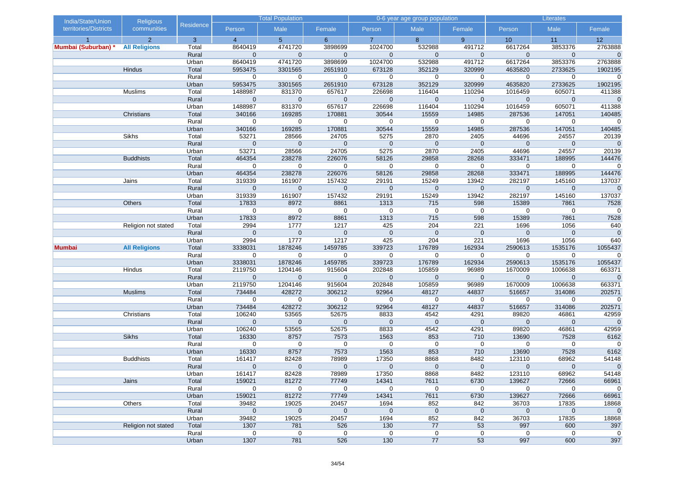| India/State/Union     | <b>Religious</b>     |                |                       | <b>Total Population</b> |                      |                     | 0-6 year age group population |                     | Literates            |                      |                      |
|-----------------------|----------------------|----------------|-----------------------|-------------------------|----------------------|---------------------|-------------------------------|---------------------|----------------------|----------------------|----------------------|
| territories/Districts | communities          | Residence      | Person                | Male                    | Female               | Person              | Male                          | Female              | Person               | Male                 | Female               |
|                       | $\overline{2}$       | 3              | $\overline{4}$        | 5 <sup>5</sup>          | 6 <sup>°</sup>       | $\overline{7}$      | 8                             | 9                   | 10                   | 11                   | 12                   |
| Mumbai (Suburban)     | <b>All Religions</b> | Total          | 8640419               | 4741720                 | 3898699              | 1024700             | 532988                        | 491712              | 6617264              | 3853376              | 2763888              |
|                       |                      | Rural          | $\Omega$              | $\Omega$                | $\mathbf 0$          | $\mathbf 0$         | $\mathbf 0$                   | $\overline{0}$      | $\mathbf 0$          | $\mathbf 0$          | $\mathbf 0$          |
|                       |                      | Urban          | 8640419               | 4741720                 | 3898699              | 1024700             | 532988                        | 491712              | 6617264              | 3853376              | 2763888              |
|                       | Hindus               | Total          | 5953475               | 3301565                 | 2651910              | 673128              | 352129                        | 320999              | 4635820              | 2733625              | 1902195              |
|                       |                      | Rural          | $\mathbf 0$           | $\mathbf 0$             | $\mathbf 0$          | $\mathbf 0$         | $\mathbf 0$                   | 0                   | $\mathbf 0$          | $\mathbf 0$          | $\mathbf 0$          |
|                       |                      | Urban          | 5953475               | 3301565                 | 2651910              | 673128              | 352129                        | 320999              | 4635820              | 2733625              | 1902195              |
|                       | Muslims              | Total          | 1488987               | 831370                  | 657617               | 226698              | 116404                        | 110294              | 1016459              | 605071               | 411388               |
|                       |                      | Rural          | $\mathbf 0$           | $\mathbf 0$             | $\mathbf 0$          | $\mathbf 0$         | $\mathbf 0$                   | $\mathbf 0$         | $\mathbf 0$          | $\mathbf 0$          | $\mathbf 0$          |
|                       |                      | Urban<br>Total | 1488987<br>340166     | 831370<br>169285        | 657617<br>170881     | 226698<br>30544     | 116404<br>15559               | 110294<br>14985     | 1016459<br>287536    | 605071<br>147051     | 411388<br>140485     |
|                       | Christians           | Rural          | 0                     | 0                       | $\mathbf 0$          | 0                   | $\mathbf 0$                   | 0                   | $\mathbf 0$          | $\mathbf 0$          | $\mathbf 0$          |
|                       |                      | Urban          | 340166                | 169285                  | 170881               | 30544               | 15559                         | 14985               | 287536               | 147051               | 140485               |
|                       | Sikhs                | Total          | 53271                 | 28566                   | 24705                | 5275                | 2870                          | 2405                | 44696                | 24557                | 20139                |
|                       |                      | Rural          | $\mathbf 0$           | $\mathbf 0$             | $\mathbf 0$          | $\mathbf 0$         | $\mathbf 0$                   | $\mathbf 0$         | $\mathbf 0$          | $\mathbf 0$          | $\mathbf 0$          |
|                       |                      | Urban          | 53271                 | 28566                   | 24705                | 5275                | 2870                          | 2405                | 44696                | 24557                | 20139                |
|                       | <b>Buddhists</b>     | Total          | 464354                | 238278                  | 226076               | 58126               | 29858                         | 28268               | 333471               | 188995               | 144476               |
|                       |                      | Rural          | $\mathbf 0$           | 0                       | $\mathbf 0$          | 0                   | $\mathbf 0$                   | 0                   | $\mathbf 0$          | $\mathbf 0$          | $\mathbf 0$          |
|                       |                      | Urban          | 464354                | 238278                  | 226076               | 58126               | 29858                         | 28268               | 333471               | 188995               | 144476               |
|                       | Jains                | Total          | 319339                | 161907                  | 157432               | 29191               | 15249                         | 13942               | 282197               | 145160               | 137037               |
|                       |                      | Rural          | $\mathbf 0$           | $\mathbf 0$             | $\mathbf 0$          | $\mathbf 0$         | $\mathbf 0$                   | $\mathbf 0$         | $\mathbf 0$          | $\mathbf 0$          | $\mathbf 0$          |
|                       |                      | Urban          | 319339                | 161907                  | 157432               | 29191               | 15249                         | 13942               | 282197               | 145160               | 137037               |
|                       | Others               | Total          | 17833                 | 8972                    | 8861                 | 1313                | 715                           | 598                 | 15389                | 7861                 | 7528                 |
|                       |                      | Rural          | $\mathbf 0$           | $\mathbf 0$             | $\mathbf 0$          | $\mathbf 0$         | $\mathbf 0$                   | 0                   | $\mathbf 0$          | 0                    | $\mathbf 0$          |
|                       |                      | Urban          | 17833                 | 8972                    | 8861                 | 1313                | 715                           | 598                 | 15389                | 7861                 | 7528                 |
|                       | Religion not stated  | Total          | 2994                  | 1777                    | 1217                 | 425                 | 204                           | 221                 | 1696                 | 1056                 | 640                  |
|                       |                      | Rural          | $\mathbf{0}$          | $\mathbf 0$             | $\mathbf 0$          | $\mathbf 0$         | $\mathbf{0}$                  | $\overline{0}$      | $\mathbf 0$          | $\mathbf{0}$         | $\overline{0}$       |
|                       |                      | Urban          | 2994                  | 1777                    | 1217                 | 425                 | 204                           | 221                 | 1696                 | 1056                 | 640                  |
| <b>Mumbai</b>         | <b>All Religions</b> | Total          | 3338031               | 1878246                 | 1459785              | 339723              | 176789                        | 162934              | 2590613              | 1535176              | 1055437              |
|                       |                      | Rural          | $\mathbf 0$           | $\mathbf 0$             | $\mathbf 0$          | $\mathbf 0$         | $\mathbf 0$                   | 0                   | $\mathbf 0$          | $\mathbf 0$          | $\mathbf 0$          |
|                       |                      | Urban          | 3338031               | 1878246                 | 1459785              | 339723              | 176789                        | 162934              | 2590613              | 1535176              | 1055437              |
|                       | Hindus               | Total          | 2119750               | 1204146                 | 915604               | 202848              | 105859                        | 96989               | 1670009              | 1006638              | 663371               |
|                       |                      | Rural          | $\mathbf 0$           | $\mathbf 0$             | $\mathbf{0}$         | $\mathbf 0$         | $\mathbf 0$                   | $\mathbf 0$         | $\mathbf 0$          | $\mathbf 0$          | $\mathbf 0$          |
|                       |                      | Urban          | 2119750               | 1204146                 | 915604               | 202848              | 105859                        | 96989               | 1670009              | 1006638              | 663371               |
|                       | <b>Muslims</b>       | Total          | 734484                | 428272                  | 306212               | 92964               | 48127                         | 44837               | 516657               | 314086               | 202571               |
|                       |                      | Rural          | $\mathbf 0$           | 0                       | $\mathbf 0$          | $\mathbf 0$         | $\mathbf 0$                   | 0                   | $\mathbf 0$          | 0                    | $\mathbf 0$          |
|                       |                      | Urban          | 734484                | 428272                  | 306212               | 92964               | 48127                         | 44837               | 516657               | 314086               | 202571               |
|                       | Christians           | Total          | 106240                | 53565                   | 52675                | 8833                | 4542                          | 4291                | 89820                | 46861                | 42959                |
|                       |                      | Rural<br>Urban | $\mathbf 0$<br>106240 | $\mathbf 0$<br>53565    | $\mathbf 0$<br>52675 | $\mathbf 0$<br>8833 | $\mathbf 0$<br>4542           | $\mathbf 0$<br>4291 | $\mathbf 0$<br>89820 | $\mathbf 0$<br>46861 | $\mathbf 0$<br>42959 |
|                       | Sikhs                | Total          | 16330                 | 8757                    | 7573                 | 1563                | 853                           | 710                 | 13690                | 7528                 | 6162                 |
|                       |                      | Rural          | $\mathbf 0$           | $\mathbf 0$             | $\mathbf 0$          | $\mathbf 0$         | $\mathbf 0$                   | $\mathbf 0$         | 0                    | 0                    | $\mathbf 0$          |
|                       |                      | Urban          | 16330                 | 8757                    | 7573                 | 1563                | 853                           | 710                 | 13690                | 7528                 | 6162                 |
|                       | <b>Buddhists</b>     | Total          | 161417                | 82428                   | 78989                | 17350               | 8868                          | 8482                | 123110               | 68962                | 54148                |
|                       |                      | Rural          | $\mathbf{0}$          | $\mathbf{0}$            | $\mathbf{0}$         | $\mathbf{0}$        | $\mathbf{0}$                  | $\mathbf{0}$        | $\mathbf 0$          | $\mathbf 0$          | $\mathbf 0$          |
|                       |                      | Urban          | 161417                | 82428                   | 78989                | 17350               | 8868                          | 8482                | 123110               | 68962                | 54148                |
|                       | Jains                | Total          | 159021                | 81272                   | 77749                | 14341               | 7611                          | 6730                | 139627               | 72666                | 66961                |
|                       |                      | Rural          | $\mathbf 0$           | 0                       | $\mathbf 0$          | $\mathbf 0$         | $\mathbf 0$                   | $\mathbf 0$         | $\mathbf 0$          | $\mathbf 0$          | $\overline{0}$       |
|                       |                      | Urban          | 159021                | 81272                   | 77749                | 14341               | 7611                          | 6730                | 139627               | 72666                | 66961                |
|                       | Others               | Total          | 39482                 | 19025                   | 20457                | 1694                | 852                           | 842                 | 36703                | 17835                | 18868                |
|                       |                      | Rural          | $\mathbf 0$           | $\mathbf 0$             | $\mathbf 0$          | $\mathbf 0$         | $\mathbf 0$                   | $\pmb{0}$           | $\pmb{0}$            | $\mathbf 0$          | $\mathbf 0$          |
|                       |                      | Urban          | 39482                 | 19025                   | 20457                | 1694                | 852                           | 842                 | 36703                | 17835                | 18868                |
|                       | Religion not stated  | Total          | 1307                  | 781                     | 526                  | 130                 | 77                            | 53                  | 997                  | 600                  | 397                  |
|                       |                      | Rural          | $\mathbf 0$           | $\mathbf 0$             | $\mathbf 0$          | 0                   | $\mathbf 0$                   | $\mathbf 0$         | $\mathbf 0$          | $\mathbf 0$          | $\mathbf 0$          |
|                       |                      | Urban          | 1307                  | 781                     | 526                  | 130                 | 77                            | 53                  | 997                  | 600                  | 397                  |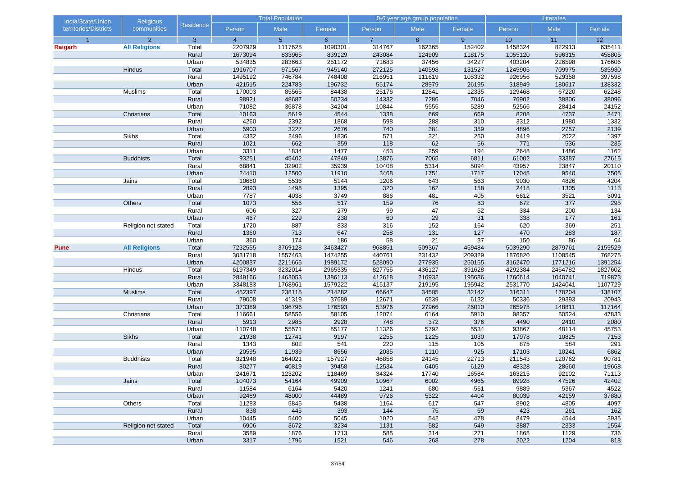| India/State/Union     | Religious            |                  | <b>Total Population</b> |                |              |                | 0-6 year age group population |            | Literates    |              |               |  |
|-----------------------|----------------------|------------------|-------------------------|----------------|--------------|----------------|-------------------------------|------------|--------------|--------------|---------------|--|
| territories/Districts | communities          | <b>Residence</b> | Person                  | Male           | Female       | Person         | Male                          | Female     | Person       | Male         | Female        |  |
| $\overline{1}$        | $\overline{2}$       | $\overline{3}$   | $\overline{4}$          | 5 <sup>5</sup> | $6^{\circ}$  | $\overline{7}$ | 8                             | 9          | 10           | 11           | 12            |  |
| Raigarh               | <b>All Religions</b> | Total            | 2207929                 | 1117628        | 1090301      | 314767         | 162365                        | 152402     | 1458324      | 822913       | 635411        |  |
|                       |                      | Rural            | 1673094                 | 833965         | 839129       | 243084         | 124909                        | 118175     | 1055120      | 596315       | 458805        |  |
|                       |                      | Urban            | 534835                  | 283663         | 251172       | 71683          | 37456                         | 34227      | 403204       | 226598       | 176606        |  |
|                       | Hindus               | Total            | 1916707                 | 971567         | 945140       | 272125         | 140598                        | 131527     | 1245905      | 709975       | 535930        |  |
|                       |                      | Rural            | 1495192                 | 746784         | 748408       | 216951         | 111619                        | 105332     | 926956       | 529358       | 397598        |  |
|                       |                      | Urban            | 421515                  | 224783         | 196732       | 55174          | 28979                         | 26195      | 318949       | 180617       | 138332        |  |
|                       | Muslims              | Total            | 170003                  | 85565          | 84438        | 25176          | 12841                         | 12335      | 129468       | 67220        | 62248         |  |
|                       |                      | Rural            | 98921                   | 48687          | 50234        | 14332          | 7286                          | 7046       | 76902        | 38806        | 38096         |  |
|                       |                      | Urban            | 71082                   | 36878          | 34204        | 10844          | 5555                          | 5289       | 52566        | 28414        | 24152         |  |
|                       | Christians           | Total            | 10163                   | 5619           | 4544         | 1338           | 669                           | 669        | 8208         | 4737         | 3471          |  |
|                       |                      | Rural            | 4260                    | 2392           | 1868         | 598<br>740     | 288                           | 310        | 3312         | 1980         | 1332          |  |
|                       | <b>Sikhs</b>         | Urban<br>Total   | 5903<br>4332            | 3227<br>2496   | 2676<br>1836 | 571            | 381<br>321                    | 359<br>250 | 4896<br>3419 | 2757<br>2022 | 2139<br>1397  |  |
|                       |                      | Rural            | 1021                    | 662            | 359          | 118            | 62                            | 56         | 771          | 536          | 235           |  |
|                       |                      | Urban            | 3311                    | 1834           | 1477         | 453            | 259                           | 194        | 2648         | 1486         | 1162          |  |
|                       | <b>Buddhists</b>     | Total            | 93251                   | 45402          | 47849        | 13876          | 7065                          | 6811       | 61002        | 33387        | 27615         |  |
|                       |                      | Rural            | 68841                   | 32902          | 35939        | 10408          | 5314                          | 5094       | 43957        | 23847        | 20110         |  |
|                       |                      | Urban            | 24410                   | 12500          | 11910        | 3468           | 1751                          | 1717       | 17045        | 9540         | 7505          |  |
|                       | Jains                | Total            | 10680                   | 5536           | 5144         | 1206           | 643                           | 563        | 9030         | 4826         | 4204          |  |
|                       |                      | Rural            | 2893                    | 1498           | 1395         | 320            | 162                           | 158        | 2418         | 1305         | 1113          |  |
|                       |                      | Urban            | 7787                    | 4038           | 3749         | 886            | 481                           | 405        | 6612         | 3521         | 3091          |  |
|                       | Others               | Total            | 1073                    | 556            | 517          | 159            | 76                            | 83         | 672          | 377          | 295           |  |
|                       |                      | Rural            | 606                     | 327            | 279          | 99             | 47                            | 52         | 334          | 200          | 134           |  |
|                       |                      | Urban            | 467                     | 229            | 238          | 60             | 29                            | 31         | 338          | 177          | 161           |  |
|                       | Religion not stated  | Total            | 1720                    | 887            | 833          | 316            | 152                           | 164        | 620          | 369          | 251           |  |
|                       |                      | Rural            | 1360                    | 713            | 647          | 258            | 131                           | 127        | 470          | 283          | 187           |  |
|                       |                      | Urban            | 360                     | 174            | 186          | 58             | 21                            | 37         | 150          | 86           | 64            |  |
| Pune                  | <b>All Religions</b> | Total            | 7232555                 | 3769128        | 3463427      | 968851         | 509367                        | 459484     | 5039290      | 2879761      | 2159529       |  |
|                       |                      | Rural            | 3031718                 | 1557463        | 1474255      | 440761         | 231432                        | 209329     | 1876820      | 1108545      | 768275        |  |
|                       |                      | Urban            | 4200837                 | 2211665        | 1989172      | 528090         | 277935                        | 250155     | 3162470      | 1771216      | 1391254       |  |
|                       | Hindus               | Total            | 6197349                 | 3232014        | 2965335      | 827755         | 436127                        | 391628     | 4292384      | 2464782      | 1827602       |  |
|                       |                      | Rural            | 2849166                 | 1463053        | 1386113      | 412618         | 216932                        | 195686     | 1760614      | 1040741      | 719873        |  |
|                       |                      | Urban            | 3348183                 | 1768961        | 1579222      | 415137         | 219195                        | 195942     | 2531770      | 1424041      | 1107729       |  |
|                       | <b>Muslims</b>       | Total            | 452397                  | 238115         | 214282       | 66647          | 34505                         | 32142      | 316311       | 178204       | 138107        |  |
|                       |                      | Rural            | 79008                   | 41319          | 37689        | 12671          | 6539                          | 6132       | 50336        | 29393        | 20943         |  |
|                       |                      | Urban            | 373389                  | 196796         | 176593       | 53976          | 27966                         | 26010      | 265975       | 148811       | 117164        |  |
|                       | Christians           | Total            | 116661                  | 58556          | 58105        | 12074          | 6164                          | 5910       | 98357        | 50524        | 47833         |  |
|                       |                      | Rural            | 5913                    | 2985           | 2928         | 748            | 372                           | 376        | 4490         | 2410         | 2080          |  |
|                       |                      | Urban            | 110748                  | 55571          | 55177        | 11326          | 5792                          | 5534       | 93867        | 48114        | 45753         |  |
|                       | <b>Sikhs</b>         | Total            | 21938                   | 12741          | 9197         | 2255           | 1225                          | 1030       | 17978        | 10825        | 7153          |  |
|                       |                      | Rural            | 1343                    | 802            | 541          | 220            | 115                           | 105        | 875          | 584          | 291           |  |
|                       |                      | Urban            | 20595                   | 11939          | 8656         | 2035           | 1110                          | 925        | 17103        | 10241        | 6862          |  |
|                       | <b>Buddhists</b>     | Total            | 321948                  | 164021         | 157927       | 46858          | 24145                         | 22713      | 211543       | 120762       | 90781         |  |
|                       |                      | Rural            | 80277                   | 40819          | 39458        | 12534          | 6405                          | 6129       | 48328        | 28660        | 19668         |  |
|                       |                      | Urban            | 241671                  | 123202         | 118469       | 34324          | 17740                         | 16584      | 163215       | 92102        | 71113         |  |
|                       | Jains                | Total            | 104073                  | 54164          | 49909        | 10967          | 6002                          | 4965       | 89928        | 47526        | 42402         |  |
|                       |                      | Rural            | 11584<br>92489          | 6164           | 5420         | 1241           | 680<br>5322                   | 561        | 9889         | 5367         | 4522<br>37880 |  |
|                       |                      | Urban            |                         | 48000          | 44489        | 9726           |                               | 4404       | 80039        | 42159        |               |  |
|                       | Others               | Total            | 11283<br>838            | 5845<br>445    | 5438<br>393  | 1164<br>144    | 617                           | 547<br>69  | 8902<br>423  | 4805<br>261  | 4097          |  |
|                       |                      | Rural<br>Urban   | 10445                   | 5400           | 5045         | 1020           | 75<br>542                     | 478        | 8479         | 4544         | 162<br>3935   |  |
|                       | Religion not stated  | Total            | 6906                    | 3672           | 3234         | 1131           | 582                           | 549        | 3887         | 2333         | 1554          |  |
|                       |                      | Rural            | 3589                    | 1876           | 1713         | 585            | 314                           | 271        | 1865         | 1129         | 736           |  |
|                       |                      | Urban            | 3317                    | 1796           | 1521         | 546            | 268                           | 278        | 2022         | 1204         | 818           |  |
|                       |                      |                  |                         |                |              |                |                               |            |              |              |               |  |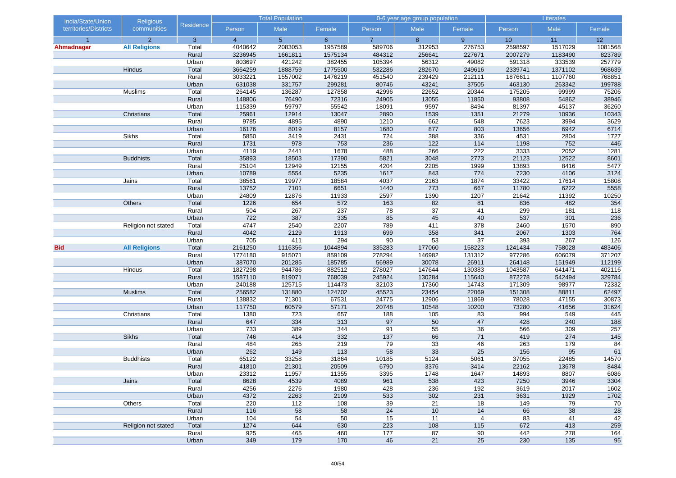| India/State/Union     | Religious            |                  | <b>Total Population</b> |                |              | 0-6 year age group population |            | Literates      |               |              |              |
|-----------------------|----------------------|------------------|-------------------------|----------------|--------------|-------------------------------|------------|----------------|---------------|--------------|--------------|
| territories/Districts | communities          | <b>Residence</b> | Person                  | Male           | Female       | Person                        | Male       | Female         | Person        | Male         | Female       |
| $\overline{1}$        | $\overline{2}$       | $\overline{3}$   | $\overline{4}$          | 5 <sup>5</sup> | $6^{\circ}$  | $\overline{7}$                | 8          | 9 <sup>°</sup> | 10            | 11           | 12           |
| Ahmadnagar            | <b>All Religions</b> | Total            | 4040642                 | 2083053        | 1957589      | 589706                        | 312953     | 276753         | 2598597       | 1517029      | 1081568      |
|                       |                      | Rural            | 3236945                 | 1661811        | 1575134      | 484312                        | 256641     | 227671         | 2007279       | 1183490      | 823789       |
|                       |                      | Urban            | 803697                  | 421242         | 382455       | 105394                        | 56312      | 49082          | 591318        | 333539       | 257779       |
|                       | Hindus               | Total            | 3664259                 | 1888759        | 1775500      | 532286                        | 282670     | 249616         | 2339741       | 1371102      | 968639       |
|                       |                      | Rural            | 3033221                 | 1557002        | 1476219      | 451540                        | 239429     | 212111         | 1876611       | 1107760      | 768851       |
|                       |                      | Urban            | 631038                  | 331757         | 299281       | 80746                         | 43241      | 37505          | 463130        | 263342       | 199788       |
|                       | Muslims              | Total            | 264145                  | 136287         | 127858       | 42996                         | 22652      | 20344          | 175205        | 99999        | 75206        |
|                       |                      | Rural            | 148806                  | 76490          | 72316        | 24905                         | 13055      | 11850          | 93808         | 54862        | 38946        |
|                       |                      | Urban            | 115339                  | 59797          | 55542        | 18091                         | 9597       | 8494           | 81397         | 45137        | 36260        |
|                       | Christians           | Total            | 25961                   | 12914          | 13047        | 2890                          | 1539       | 1351           | 21279         | 10936        | 10343        |
|                       |                      | Rural<br>Urban   | 9785<br>16176           | 4895<br>8019   | 4890<br>8157 | 1210<br>1680                  | 662<br>877 | 548<br>803     | 7623<br>13656 | 3994<br>6942 | 3629<br>6714 |
|                       | <b>Sikhs</b>         | Total            | 5850                    | 3419           | 2431         | 724                           | 388        | 336            | 4531          | 2804         | 1727         |
|                       |                      | Rural            | 1731                    | 978            | 753          | 236                           | 122        | 114            | 1198          | 752          | 446          |
|                       |                      | Urban            | 4119                    | 2441           | 1678         | 488                           | 266        | 222            | 3333          | 2052         | 1281         |
|                       | <b>Buddhists</b>     | Total            | 35893                   | 18503          | 17390        | 5821                          | 3048       | 2773           | 21123         | 12522        | 8601         |
|                       |                      | Rural            | 25104                   | 12949          | 12155        | 4204                          | 2205       | 1999           | 13893         | 8416         | 5477         |
|                       |                      | Urban            | 10789                   | 5554           | 5235         | 1617                          | 843        | 774            | 7230          | 4106         | 3124         |
|                       | Jains                | Total            | 38561                   | 19977          | 18584        | 4037                          | 2163       | 1874           | 33422         | 17614        | 15808        |
|                       |                      | Rural            | 13752                   | 7101           | 6651         | 1440                          | 773        | 667            | 11780         | 6222         | 5558         |
|                       |                      | Urban            | 24809                   | 12876          | 11933        | 2597                          | 1390       | 1207           | 21642         | 11392        | 10250        |
|                       | Others               | Total            | 1226                    | 654            | 572          | 163                           | 82         | 81             | 836           | 482          | 354          |
|                       |                      | Rural            | 504                     | 267            | 237          | 78                            | 37         | 41             | 299           | 181          | 118          |
|                       |                      | Urban            | 722                     | 387            | 335          | 85                            | 45         | 40             | 537           | 301          | 236          |
|                       | Religion not stated  | Total            | 4747                    | 2540           | 2207         | 789                           | 411        | 378            | 2460          | 1570         | 890          |
|                       |                      | Rural            | 4042                    | 2129           | 1913         | 699                           | 358        | 341            | 2067          | 1303         | 764          |
|                       |                      | Urban            | 705                     | 411            | 294          | 90                            | 53         | 37             | 393           | 267          | 126          |
| <b>Bid</b>            | <b>All Religions</b> | Total            | 2161250                 | 1116356        | 1044894      | 335283                        | 177060     | 158223         | 1241434       | 758028       | 483406       |
|                       |                      | Rural            | 1774180                 | 915071         | 859109       | 278294                        | 146982     | 131312         | 977286        | 606079       | 371207       |
|                       |                      | Urban            | 387070                  | 201285         | 185785       | 56989                         | 30078      | 26911          | 264148        | 151949       | 112199       |
|                       | Hindus               | Total            | 1827298                 | 944786         | 882512       | 278027                        | 147644     | 130383         | 1043587       | 641471       | 402116       |
|                       |                      | Rural            | 1587110                 | 819071         | 768039       | 245924                        | 130284     | 115640         | 872278        | 542494       | 329784       |
|                       |                      | Urban            | 240188                  | 125715         | 114473       | 32103                         | 17360      | 14743          | 171309        | 98977        | 72332        |
|                       | <b>Muslims</b>       | Total            | 256582                  | 131880         | 124702       | 45523                         | 23454      | 22069          | 151308        | 88811        | 62497        |
|                       |                      | Rural            | 138832                  | 71301          | 67531        | 24775                         | 12906      | 11869          | 78028         | 47155        | 30873        |
|                       |                      | Urban            | 117750                  | 60579          | 57171        | 20748                         | 10548      | 10200          | 73280         | 41656        | 31624        |
|                       | Christians           | Total            | 1380                    | 723            | 657          | 188                           | 105        | 83             | 994           | 549          | 445          |
|                       |                      | Rural            | 647                     | 334            | 313          | 97                            | 50         | 47             | 428           | 240          | 188          |
|                       |                      | Urban            | 733                     | 389            | 344          | 91                            | 55         | 36             | 566           | 309          | 257          |
|                       | <b>Sikhs</b>         | Total            | 746                     | 414            | 332          | 137                           | 66         | 71             | 419           | 274          | $145$        |
|                       |                      | Rural            | 484                     | 265            | 219          | 79                            | 33         | 46             | 263           | 179          | 84           |
|                       |                      | Urban            | 262                     | 149            | 113          | 58                            | 33         | 25             | 156           | 95           | 61           |
|                       | <b>Buddhists</b>     | Total            | 65122                   | 33258          | 31864        | 10185                         | 5124       | 5061           | 37055         | 22485        | 14570        |
|                       |                      | Rural            | 41810                   | 21301          | 20509        | 6790                          | 3376       | 3414           | 22162         | 13678        | 8484         |
|                       |                      | Urban            | 23312                   | 11957          | 11355        | 3395                          | 1748       | 1647           | 14893         | 8807         | 6086         |
|                       | Jains                | Total            | 8628                    | 4539           | 4089         | 961                           | 538        | 423            | 7250          | 3946         | 3304         |
|                       |                      | Rural            | 4256                    | 2276<br>2263   | 1980<br>2109 | 428<br>533                    | 236<br>302 | 192<br>231     | 3619          | 2017<br>1929 | 1602         |
|                       | <b>Others</b>        | Urban<br>Total   | 4372<br>220             | 112            | 108          | 39                            | 21         | 18             | 3631<br>149   | 79           | 1702         |
|                       |                      |                  | 116                     | 58             | 58           | 24                            |            | 14             | 66            |              | 70           |
|                       |                      | Rural<br>Urban   | 104                     | 54             | 50           | 15                            | 10<br>11   | 4              | 83            | 38<br>41     | 28<br>42     |
|                       | Religion not stated  | Total            | 1274                    | 644            | 630          | 223                           | 108        | 115            | 672           | 413          | 259          |
|                       |                      | Rural            | 925                     | 465            | 460          | 177                           | 87         | 90             | 442           | 278          | 164          |
|                       |                      | Urban            | 349                     | 179            | 170          | 46                            | 21         | 25             | 230           | 135          | 95           |
|                       |                      |                  |                         |                |              |                               |            |                |               |              |              |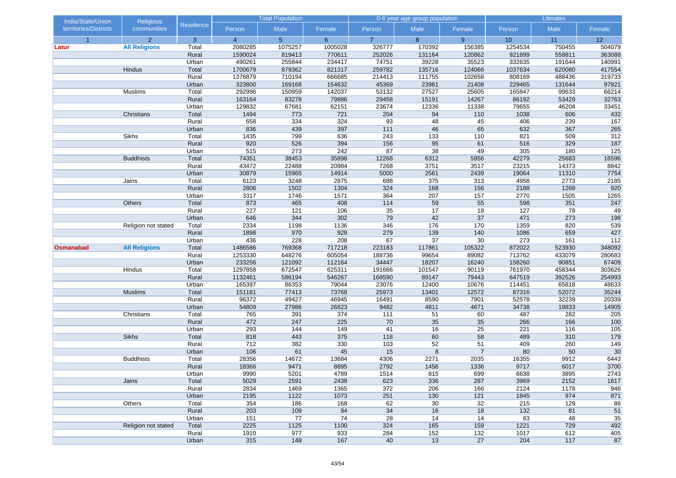| India/State/Union     | <b>Religious</b>     |                  | <b>Total Population</b> |                |             | 0-6 year age group population |           | Literates      |            |            |                  |
|-----------------------|----------------------|------------------|-------------------------|----------------|-------------|-------------------------------|-----------|----------------|------------|------------|------------------|
| territories/Districts | communities          | <b>Residence</b> | Person                  | Male           | Female      | Person                        | Male      | Female         | Person     | Male       | Female           |
| $\overline{1}$        | $\overline{2}$       | 3                | $\overline{4}$          | 5 <sup>5</sup> | $6^{\circ}$ | $\overline{7}$                | 8         | 9              | 10         | 11         | 12               |
| Latur                 | <b>All Religions</b> | Total            | 2080285                 | 1075257        | 1005028     | 326777                        | 170392    | 156385         | 1254534    | 750455     | 504079           |
|                       |                      | Rural            | 1590024                 | 819413         | 770611      | 252026                        | 131164    | 120862         | 921899     | 558811     | 363088           |
|                       |                      | Urban            | 490261                  | 255844         | 234417      | 74751                         | 39228     | 35523          | 332635     | 191644     | 140991           |
|                       | Hindus               | Total            | 1700679                 | 879362         | 821317      | 259782                        | 135716    | 124066         | 1037634    | 620080     | 417554           |
|                       |                      | Rural            | 1376879                 | 710194         | 666685      | 214413                        | 111755    | 102658         | 808169     | 488436     | 319733           |
|                       |                      | Urban            | 323800                  | 169168         | 154632      | 45369                         | 23961     | 21408          | 229465     | 131644     | 97821            |
|                       | Muslims              | Total            | 292996                  | 150959         | 142037      | 53132                         | 27527     | 25605          | 165847     | 99633      | 66214            |
|                       |                      | Rural            | 163164                  | 83278          | 79886       | 29458                         | 15191     | 14267          | 86192      | 53429      | 32763            |
|                       |                      | Urban            | 129832                  | 67681          | 62151       | 23674                         | 12336     | 11338          | 79655      | 46204      | 33451            |
|                       | Christians           | Total            | 1494                    | 773            | 721         | 204                           | 94        | 110            | 1038       | 606        | 432              |
|                       |                      | Rural            | 658                     | 334            | 324         | 93                            | 48        | 45             | 406        | 239        | 167              |
|                       |                      | Urban            | 836                     | 439            | 397         | 111                           | 46        | 65             | 632        | 367        | 265              |
|                       | Sikhs                | Total<br>Rural   | 1435<br>920             | 799<br>526     | 636<br>394  | 243<br>156                    | 133<br>95 | 110<br>61      | 821<br>516 | 509<br>329 | 312<br>187       |
|                       |                      | Urban            | 515                     | 273            | 242         | 87                            | 38        | 49             | 305        | 180        | 125              |
|                       | <b>Buddhists</b>     | Total            | 74351                   | 38453          | 35898       | 12268                         | 6312      | 5956           | 42279      | 25683      | 16596            |
|                       |                      | Rural            | 43472                   | 22488          | 20984       | 7268                          | 3751      | 3517           | 23215      | 14373      | 8842             |
|                       |                      | Urban            | 30879                   | 15965          | 14914       | 5000                          | 2561      | 2439           | 19064      | 11310      | 7754             |
|                       | Jains                | Total            | 6123                    | 3248           | 2875        | 688                           | 375       | 313            | 4958       | 2773       | 2185             |
|                       |                      | Rural            | 2806                    | 1502           | 1304        | 324                           | 168       | 156            | 2188       | 1268       | 920              |
|                       |                      | Urban            | 3317                    | 1746           | 1571        | 364                           | 207       | 157            | 2770       | 1505       | 1265             |
|                       | Others               | Total            | 873                     | 465            | 408         | 114                           | 59        | 55             | 598        | 351        | 247              |
|                       |                      | Rural            | 227                     | 121            | 106         | $\overline{35}$               | 17        | 18             | 127        | 78         | 49               |
|                       |                      | Urban            | 646                     | 344            | 302         | 79                            | 42        | 37             | 471        | 273        | 198              |
|                       | Religion not stated  | Total            | 2334                    | 1198           | 1136        | 346                           | 176       | 170            | 1359       | 820        | 539              |
|                       |                      | Rural            | 1898                    | 970            | 928         | 279                           | 139       | 140            | 1086       | 659        | 427              |
|                       |                      | Urban            | 436                     | 228            | 208         | 67                            | 37        | 30             | 273        | 161        | $\overline{112}$ |
| <b>Osmanabad</b>      | <b>All Religions</b> | Total            | 1486586                 | 769368         | 717218      | 223183                        | 117861    | 105322         | 872022     | 523930     | 348092           |
|                       |                      | Rural            | 1253330                 | 648276         | 605054      | 188736                        | 99654     | 89082          | 713762     | 433079     | 280683           |
|                       |                      | Urban            | 233256                  | 121092         | 112164      | 34447                         | 18207     | 16240          | 158260     | 90851      | 67409            |
|                       | Hindus               | Total            | 1297858                 | 672547         | 625311      | 191666                        | 101547    | 90119          | 761970     | 458344     | 303626           |
|                       |                      | Rural            | 1132461                 | 586194         | 546267      | 168590                        | 89147     | 79443          | 647519     | 392526     | 254993           |
|                       |                      | Urban            | 165397                  | 86353          | 79044       | 23076                         | 12400     | 10676          | 114451     | 65818      | 48633            |
|                       | <b>Muslims</b>       | Total            | 151181                  | 77413          | 73768       | 25973                         | 13401     | 12572          | 87316      | 52072      | 35244            |
|                       |                      | Rural            | 96372                   | 49427          | 46945       | 16491                         | 8590      | 7901           | 52578      | 32239      | 20339            |
|                       |                      | Urban            | 54809                   | 27986          | 26823       | 9482                          | 4811      | 4671           | 34738      | 19833      | 14905            |
|                       | Christians           | Total            | 765                     | 391            | 374         | 111                           | 51        | 60             | 487        | 282        | 205              |
|                       |                      | Rural            | 472                     | 247            | 225         | 70                            | 35        | 35             | 266        | 166        | 100              |
|                       |                      | Urban            | 293                     | 144            | 149         | 41                            | 16        | 25             | 221        | 116        | $\overline{105}$ |
|                       | <b>Sikhs</b>         | Total            | 818                     | 443            | 375         | 118                           | 60        | 58             | 489        | 310        | 179              |
|                       |                      | Rural            | 712                     | 382            | 330         | 103                           | 52        | 51             | 409        | 260        | 149              |
|                       |                      | Urban            | 106                     | 61             | 45          | 15                            | 8         | $\overline{7}$ | 80         | 50         | 30               |
|                       | <b>Buddhists</b>     | Total            | 28356                   | 14672          | 13684       | 4306                          | 2271      | 2035           | 16355      | 9912       | 6443             |
|                       |                      | Rural            | 18366                   | 9471           | 8895        | 2792                          | 1456      | 1336           | 9717       | 6017       | 3700             |
|                       |                      | Urban            | 9990                    | 5201           | 4789        | 1514                          | 815       | 699            | 6638       | 3895       | 2743             |
|                       | Jains                | Total            | 5029                    | 2591           | 2438        | 623                           | 336       | 287            | 3969       | 2152       | 1817             |
|                       |                      | Rural            | 2834                    | 1469           | 1365        | 372                           | 206       | 166            | 2124       | 1178       | 946              |
|                       |                      | Urban            | 2195                    | 1122           | 1073        | 251                           | 130       | 121            | 1845       | 974        | 871              |
|                       | Others               | Total            | 354                     | 186            | 168         | 62                            | 30        | 32             | 215        | 129        | 86               |
|                       |                      | Rural            | 203                     | 109            | 94          | 34                            | 16        | 18             | 132        | 81         | 51               |
|                       |                      | Urban            | 151                     | 77             | 74          | 28                            | 14        | 14             | 83         | 48         | 35               |
|                       | Religion not stated  | Total            | 2225                    | 1125           | 1100        | 324                           | 165       | 159            | 1221       | 729        | 492              |
|                       |                      | Rural            | 1910                    | 977            | 933         | 284                           | $152$     | $132$          | 1017       | 612        | 405              |
|                       |                      | Urban            | 315                     | 148            | 167         | 40                            | 13        | 27             | 204        | 117        | 87               |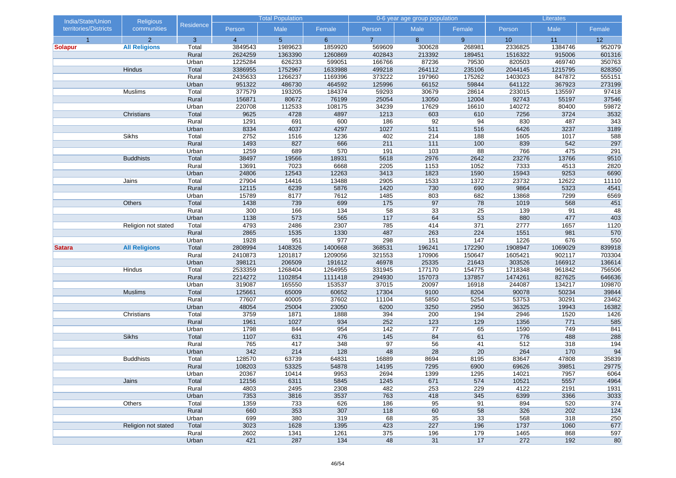| India/State/Union     | <b>Religious</b>     |                |                | <b>Total Population</b> |                |                 | 0-6 year age group population |                 | Literates   |              |            |  |
|-----------------------|----------------------|----------------|----------------|-------------------------|----------------|-----------------|-------------------------------|-----------------|-------------|--------------|------------|--|
| territories/Districts | communities          | Residence      | Person         | Male                    | Female         | Person          | Male                          | Female          | Person      | Male         | Female     |  |
| $\overline{1}$        | $\overline{2}$       | 3              | $\overline{4}$ | 5 <sup>5</sup>          | 6 <sup>°</sup> | $\overline{7}$  | 8                             | 9               | 10          | 11           | 12         |  |
| <b>Solapur</b>        | <b>All Religions</b> | Total          | 3849543        | 1989623                 | 1859920        | 569609          | 300628                        | 268981          | 2336825     | 1384746      | 952079     |  |
|                       |                      | Rural          | 2624259        | 1363390                 | 1260869        | 402843          | 213392                        | 189451          | 1516322     | 915006       | 601316     |  |
|                       |                      | Urban          | 1225284        | 626233                  | 599051         | 166766          | 87236                         | 79530           | 820503      | 469740       | 350763     |  |
|                       | Hindus               | Total          | 3386955        | 1752967                 | 1633988        | 499218          | 264112                        | 235106          | 2044145     | 1215795      | 828350     |  |
|                       |                      | Rural          | 2435633        | 1266237                 | 1169396        | 373222          | 197960                        | 175262          | 1403023     | 847872       | 555151     |  |
|                       |                      | Urban          | 951322         | 486730                  | 464592         | 125996          | 66152                         | 59844           | 641122      | 367923       | 273199     |  |
|                       | Muslims              | Total          | 377579         | 193205                  | 184374         | 59293           | 30679                         | 28614           | 233015      | 135597       | 97418      |  |
|                       |                      | Rural          | 156871         | 80672                   | 76199          | 25054           | 13050                         | 12004           | 92743       | 55197        | 37546      |  |
|                       |                      | Urban          | 220708         | 112533                  | 108175         | 34239           | 17629                         | 16610           | 140272      | 80400        | 59872      |  |
|                       | Christians           | Total          | 9625           | 4728                    | 4897           | 1213            | 603                           | 610             | 7256        | 3724         | 3532       |  |
|                       |                      | Rural          | 1291           | 691                     | 600            | 186             | 92                            | 94              | 830         | 487          | 343        |  |
|                       | Sikhs                | Urban          | 8334           | 4037<br>1516            | 4297           | 1027<br>402     | 511<br>214                    | 516<br>188      | 6426        | 3237<br>1017 | 3189       |  |
|                       |                      | Total<br>Rural | 2752<br>1493   | 827                     | 1236<br>666    | 211             | $111$                         | 100             | 1605<br>839 | 542          | 588<br>297 |  |
|                       |                      | Urban          | 1259           | 689                     | 570            | 191             |                               | 88              | 766         | 475          | 291        |  |
|                       | <b>Buddhists</b>     | Total          | 38497          | 19566                   | 18931          | 5618            | 103<br>2976                   | 2642            | 23276       | 13766        | 9510       |  |
|                       |                      | Rural          | 13691          | 7023                    | 6668           | 2205            | 1153                          | 1052            | 7333        | 4513         | 2820       |  |
|                       |                      | Urban          | 24806          | 12543                   | 12263          | 3413            | 1823                          | 1590            | 15943       | 9253         | 6690       |  |
|                       | Jains                | Total          | 27904          | 14416                   | 13488          | 2905            | 1533                          | 1372            | 23732       | 12622        | 11110      |  |
|                       |                      | Rural          | 12115          | 6239                    | 5876           | 1420            | 730                           | 690             | 9864        | 5323         | 4541       |  |
|                       |                      | Urban          | 15789          | 8177                    | 7612           | 1485            | 803                           | 682             | 13868       | 7299         | 6569       |  |
|                       | Others               | Total          | 1438           | 739                     | 699            | 175             | 97                            | 78              | 1019        | 568          | 451        |  |
|                       |                      | Rural          | 300            | 166                     | 134            | $\overline{58}$ | 33                            | $\overline{25}$ | 139         | 91           | 48         |  |
|                       |                      | Urban          | 1138           | 573                     | 565            | 117             | 64                            | 53              | 880         | 477          | 403        |  |
|                       | Religion not stated  | Total          | 4793           | 2486                    | 2307           | 785             | 414                           | 371             | 2777        | 1657         | 1120       |  |
|                       |                      | Rural          | 2865           | 1535                    | 1330           | 487             | 263                           | 224             | 1551        | 981          | 570        |  |
|                       |                      | Urban          | 1928           | 951                     | 977            | 298             | 151                           | 147             | 1226        | 676          | 550        |  |
| <b>Satara</b>         | <b>All Religions</b> | Total          | 2808994        | 1408326                 | 1400668        | 368531          | 196241                        | 172290          | 1908947     | 1069029      | 839918     |  |
|                       |                      | Rural          | 2410873        | 1201817                 | 1209056        | 321553          | 170906                        | 150647          | 1605421     | 902117       | 703304     |  |
|                       |                      | Urban          | 398121         | 206509                  | 191612         | 46978           | 25335                         | 21643           | 303526      | 166912       | 136614     |  |
|                       | Hindus               | Total          | 2533359        | 1268404                 | 1264955        | 331945          | 177170                        | 154775          | 1718348     | 961842       | 756506     |  |
|                       |                      | Rural          | 2214272        | 1102854                 | 1111418        | 294930          | 157073                        | 137857          | 1474261     | 827625       | 646636     |  |
|                       |                      | Urban          | 319087         | 165550                  | 153537         | 37015           | 20097                         | 16918           | 244087      | 134217       | 109870     |  |
|                       | <b>Muslims</b>       | Total          | 125661         | 65009                   | 60652          | 17304           | 9100                          | 8204            | 90078       | 50234        | 39844      |  |
|                       |                      | Rural          | 77607          | 40005                   | 37602          | 11104           | 5850                          | 5254            | 53753       | 30291        | 23462      |  |
|                       |                      | Urban          | 48054          | 25004                   | 23050          | 6200            | 3250                          | 2950            | 36325       | 19943        | 16382      |  |
|                       | Christians           | Total          | 3759           | 1871                    | 1888           | 394             | 200                           | 194             | 2946        | 1520         | 1426       |  |
|                       |                      | Rural          | 1961           | 1027                    | 934            | 252             | 123                           | 129             | 1356        | 771          | 585        |  |
|                       |                      | Urban          | 1798           | 844                     | 954            | 142             | 77                            | 65              | 1590        | 749          | 841        |  |
|                       | <b>Sikhs</b>         | Total          | 1107           | 631                     | 476            | 145             | 84                            | 61              | 776         | 488          | 288        |  |
|                       |                      | Rural          | 765            | 417                     | 348            | 97              | 56                            | 41              | 512         | 318          | 194        |  |
|                       |                      | Urban          | 342            | 214                     | 128            | 48              | 28                            | 20              | 264         | 170          | 94         |  |
|                       | <b>Buddhists</b>     | Total          | 128570         | 63739                   | 64831          | 16889           | 8694                          | 8195            | 83647       | 47808        | 35839      |  |
|                       |                      | Rural          | 108203         | 53325                   | 54878          | 14195           | 7295                          | 6900            | 69626       | 39851        | 29775      |  |
|                       |                      | Urban          | 20367          | 10414                   | 9953           | 2694            | 1399                          | 1295            | 14021       | 7957         | 6064       |  |
|                       | Jains                | Total          | 12156          | 6311                    | 5845           | 1245            | 671                           | 574             | 10521       | 5557         | 4964       |  |
|                       |                      | Rural          | 4803           | 2495                    | 2308           | 482             | 253                           | 229             | 4122        | 2191         | 1931       |  |
|                       |                      | Urban          | 7353           | 3816                    | 3537           | 763             | 418                           | 345             | 6399        | 3366         | 3033       |  |
|                       | Others               | Total          | 1359           | 733                     | 626            | 186             | 95                            | 91              | 894         | 520          | 374        |  |
|                       |                      | Rural          | 660            | 353                     | 307            | 118             | 60                            | 58              | 326         | 202          | 124        |  |
|                       |                      | Urban          | 699            | 380                     | 319            | 68              | 35                            | 33              | 568         | 318          | 250        |  |
|                       | Religion not stated  | Total          | 3023           | 1628                    | 1395           | 423             | 227                           | 196             | 1737        | 1060         | 677        |  |
|                       |                      | Rural          | 2602           | 1341                    | 1261           | 375             | 196                           | 179             | 1465        | 868          | 597        |  |
|                       |                      | Urban          | 421            | 287                     | 134            | 48              | 31                            | 17              | 272         | 192          | 80         |  |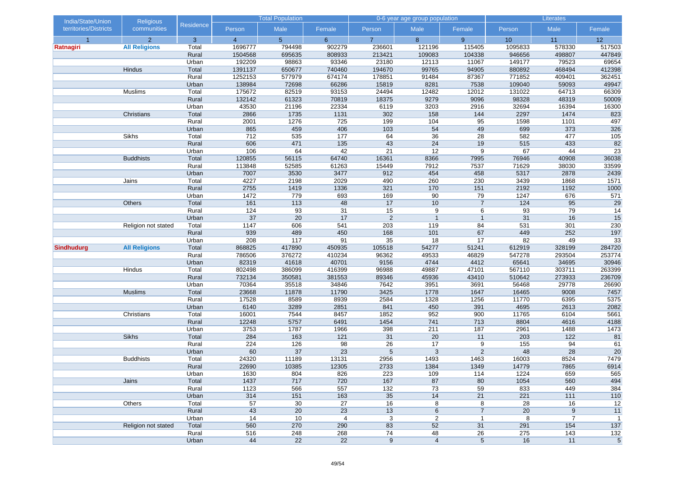| India/State/Union     | Religious            |                  |                | <b>Total Population</b> |                 | 0-6 year age group population |                      |                | Literates   |                  |                 |
|-----------------------|----------------------|------------------|----------------|-------------------------|-----------------|-------------------------------|----------------------|----------------|-------------|------------------|-----------------|
| territories/Districts | communities          | <b>Residence</b> | Person         | Male                    | Female          | Person                        | Male                 | Female         | Person      | Male             | Female          |
| $\overline{1}$        | $\overline{2}$       | 3                | $\overline{4}$ | 5 <sup>5</sup>          | $6^{\circ}$     | $\overline{7}$                | 8                    | 9 <sup>°</sup> | 10          | 11               | 12              |
| Ratnagiri             | <b>All Religions</b> | Total            | 1696777        | 794498                  | 902279          | 236601                        | 121196               | 115405         | 1095833     | 578330           | 517503          |
|                       |                      | Rural            | 1504568        | 695635                  | 808933          | 213421                        | 109083               | 104338         | 946656      | 498807           | 447849          |
|                       |                      | Urban            | 192209         | 98863                   | 93346           | 23180                         | 12113                | 11067          | 149177      | 79523            | 69654           |
|                       | Hindus               | Total            | 1391137        | 650677                  | 740460          | 194670                        | 99765                | 94905          | 880892      | 468494           | 412398          |
|                       |                      | Rural            | 1252153        | 577979                  | 674174          | 178851                        | 91484                | 87367          | 771852      | 409401           | 362451          |
|                       |                      | Urban            | 138984         | 72698                   | 66286           | 15819                         | 8281                 | 7538           | 109040      | 59093            | 49947           |
|                       | Muslims              | Total            | 175672         | 82519                   | 93153           | 24494                         | 12482                | 12012          | 131022      | 64713            | 66309           |
|                       |                      | Rural            | 132142         | 61323                   | 70819           | 18375                         | 9279                 | 9096           | 98328       | 48319            | 50009           |
|                       |                      | Urban            | 43530          | 21196                   | 22334           | 6119                          | 3203                 | 2916           | 32694       | 16394            | 16300           |
|                       | Christians           | Total            | 2866           | 1735                    | 1131            | 302                           | 158                  | 144            | 2297        | 1474             | 823             |
|                       |                      | Rural            | 2001           | 1276                    | 725             | 199                           | 104                  | 95             | 1598        | 1101             | 497             |
|                       |                      | Urban            | 865            | 459                     | 406             | 103                           | 54                   | 49             | 699<br>582  | 373              | 326             |
|                       | Sikhs                | Total            | 712<br>606     | 535<br>471              | 177             | 64                            | 36                   | 28             | 515         | 477              | 105             |
|                       |                      | Rural            |                |                         | 135             | 43                            | 24                   | 19<br>9        |             | 433              | 82              |
|                       | <b>Buddhists</b>     | Urban<br>Total   | 106<br>120855  | 64<br>56115             | 42<br>64740     | 21<br>16361                   | 12<br>8366           | 7995           | 67<br>76946 | 44<br>40908      | 23<br>36038     |
|                       |                      | Rural            | 113848         | 52585                   | 61263           | 15449                         | 7912                 | 7537           | 71629       | 38030            | 33599           |
|                       |                      | Urban            | 7007           | 3530                    | 3477            | 912                           | 454                  | 458            | 5317        | 2878             | 2439            |
|                       | Jains                | Total            | 4227           | 2198                    | 2029            | 490                           | 260                  | 230            | 3439        | 1868             | 1571            |
|                       |                      | Rural            | 2755           | 1419                    | 1336            | 321                           | 170                  | 151            | 2192        | 1192             | 1000            |
|                       |                      | Urban            | 1472           | 779                     | 693             | 169                           | 90                   | 79             | 1247        | 676              | 571             |
|                       | Others               | Total            | 161            | 113                     | 48              | 17                            | 10                   | $\overline{7}$ | 124         | 95               | 29              |
|                       |                      | Rural            | 124            | 93                      | 31              | 15                            | 9                    | 6              | 93          | 79               | $\overline{14}$ |
|                       |                      | Urban            | 37             | 20                      | 17              | $\overline{2}$                | $\overline{1}$       | $\mathbf{1}$   | 31          | 16               | 15              |
|                       | Religion not stated  | Total            | 1147           | 606                     | 541             | 203                           | 119                  | 84             | 531         | 301              | 230             |
|                       |                      | Rural            | 939            | 489                     | 450             | 168                           | 101                  | 67             | 449         | 252              | 197             |
|                       |                      | Urban            | 208            | 117                     | 91              | 35                            | 18                   | 17             | 82          | 49               | 33              |
| <b>Sindhudurg</b>     | <b>All Religions</b> | Total            | 868825         | 417890                  | 450935          | 105518                        | 54277                | 51241          | 612919      | 328199           | 284720          |
|                       |                      | Rural            | 786506         | 376272                  | 410234          | 96362                         | 49533                | 46829          | 547278      | 293504           | 253774          |
|                       |                      | Urban            | 82319          | 41618                   | 40701           | 9156                          | 4744                 | 4412           | 65641       | 34695            | 30946           |
|                       | Hindus               | Total            | 802498         | 386099                  | 416399          | 96988                         | 49887                | 47101          | 567110      | 303711           | 263399          |
|                       |                      | Rural            | 732134         | 350581                  | 381553          | 89346                         | 45936                | 43410          | 510642      | 273933           | 236709          |
|                       |                      | Urban            | 70364          | 35518                   | 34846           | 7642                          | 3951                 | 3691           | 56468       | 29778            | 26690           |
|                       | <b>Muslims</b>       | Total            | 23668          | 11878                   | 11790           | 3425                          | 1778                 | 1647           | 16465       | 9008             | 7457            |
|                       |                      | Rural            | 17528          | 8589                    | 8939            | 2584                          | 1328                 | 1256           | 11770       | 6395             | 5375            |
|                       |                      | Urban            | 6140           | 3289                    | 2851            | 841                           | 450                  | 391            | 4695        | 2613             | 2082            |
|                       | Christians           | Total            | 16001          | 7544                    | 8457            | 1852                          | 952                  | 900            | 11765       | 6104             | 5661            |
|                       |                      | Rural            | 12248          | 5757                    | 6491            | 1454                          | 741                  | 713            | 8804        | 4616             | 4188            |
|                       |                      | Urban            | 3753           | 1787                    | 1966            | 398                           | 211                  | 187            | 2961        | 1488             | 1473            |
|                       | <b>Sikhs</b>         | Total            | 284            | 163                     | 121             | 31                            | 20                   | 11             | 203         | $122$            | 81              |
|                       |                      | Rural            | 224            | 126                     | 98              | 26                            | 17                   | 9              | 155         | 94               | 61              |
|                       |                      | Urban            | 60             | 37                      | 23              | 5                             | 3                    | 2              | 48          | 28               | 20              |
|                       | <b>Buddhists</b>     | Total            | 24320          | 11189                   | 13131           | 2956                          | 1493                 | 1463           | 16003       | 8524             | 7479            |
|                       |                      | Rural            | 22690          | 10385                   | 12305           | 2733                          | 1384                 | 1349           | 14779       | 7865             | 6914            |
|                       |                      | Urban            | 1630           | 804                     | 826             | 223                           | 109                  | 114            | 1224        | 659              | 565             |
|                       | Jains                | Total            | 1437           | 717                     | 720             | 167                           | 87                   | 80             | 1054        | 560              | 494             |
|                       |                      | Rural            | 1123           | 566                     | 557             | $132$                         | 73                   | 59             | 833         | 449              | 384             |
|                       |                      | Urban            | 314            | 151                     | 163             | 35                            | 14                   | 21             | 221         | 111              | 110             |
|                       | <b>Others</b>        | Total            | 57             | 30                      | $\overline{27}$ | 16                            | 8                    | 8              | 28          | 16               | 12              |
|                       |                      | Rural            | 43             | 20                      | 23              | 13                            | 6                    | $\overline{7}$ | 20          | $\boldsymbol{9}$ | 11              |
|                       |                      | Urban            | 14             | 10                      | $\overline{a}$  | 3                             | $\overline{2}$       | $\mathbf{1}$   | 8           | $\overline{7}$   | $\mathbf{1}$    |
|                       | Religion not stated  | Total            | 560            | 270                     | 290             | 83                            | 52                   | 31             | 291         | 154              | 137             |
|                       |                      | Rural<br>Urban   | 516<br>44      | 248<br>22               | 268<br>22       | 74                            | 48<br>$\overline{4}$ | 26             | 275<br>16   | $143$<br>11      | $132$           |
|                       |                      |                  |                |                         |                 | $9\,$                         |                      | $\sqrt{5}$     |             |                  | $\,$ 5 $\,$     |